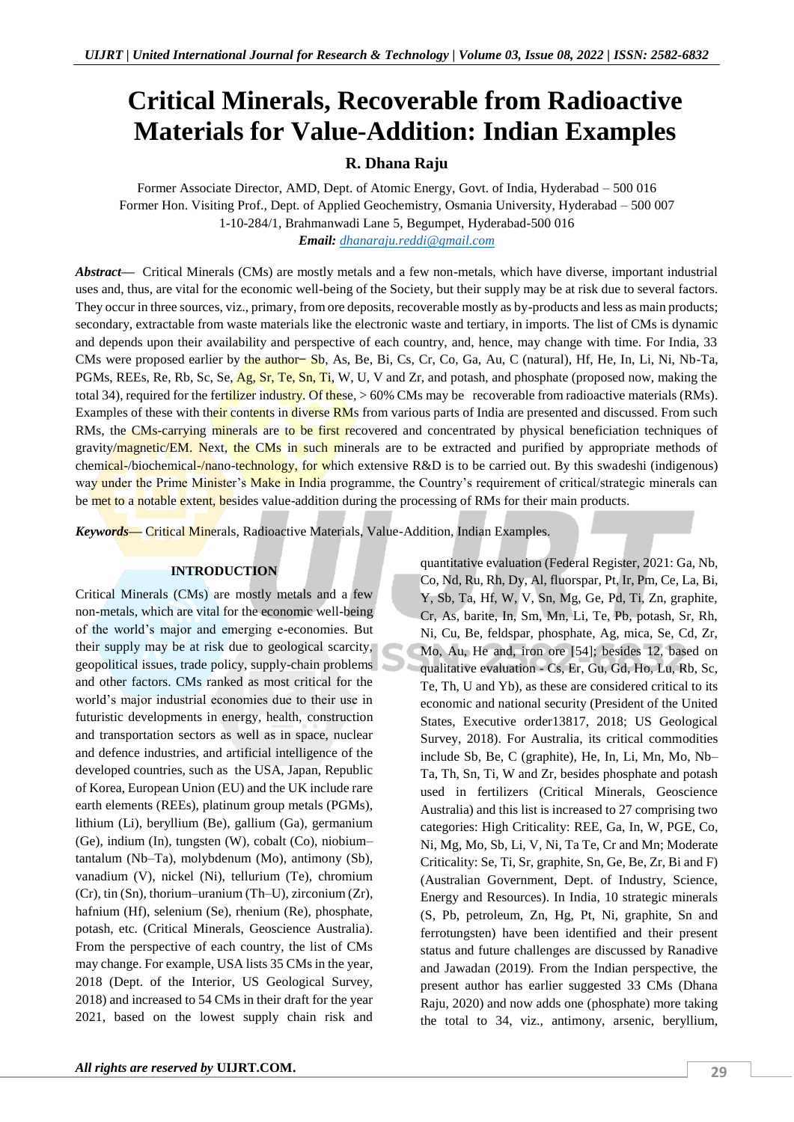# **Critical Minerals, Recoverable from Radioactive Materials for Value-Addition: Indian Examples**

# **R. Dhana Raju**

Former Associate Director, AMD, Dept. of Atomic Energy, Govt. of India, Hyderabad – 500 016 Former Hon. Visiting Prof., Dept. of Applied Geochemistry, Osmania University, Hyderabad – 500 007 1-10-284/1, Brahmanwadi Lane 5, Begumpet, Hyderabad-500 016 *Email: [dhanaraju.reddi@gmail.com](mailto:dhanaraju.reddi@gmail.com)*

*Abstract—* Critical Minerals (CMs) are mostly metals and a few non-metals, which have diverse, important industrial uses and, thus, are vital for the economic well-being of the Society, but their supply may be at risk due to several factors. They occur in three sources, viz., primary, from ore deposits, recoverable mostly as by-products and less as main products; secondary, extractable from waste materials like the electronic waste and tertiary, in imports. The list of CMs is dynamic and depends upon their availability and perspective of each country, and, hence, may change with time. For India, 33 CMs were proposed earlier by the author Sb, As, Be, Bi, Cs, Cr, Co, Ga, Au, C (natural), Hf, He, In, Li, Ni, Nb-Ta, PGMs, REEs, Re, Rb, Sc, Se, Ag, Sr, Te, Sn, Ti, W, U, V and Zr, and potash, and phosphate (proposed now, making the total 34), required for the fertilizer industry. Of these, > 60% CMs may be recoverable from radioactive materials (RMs). Examples of these with their contents in diverse RMs from various parts of India are presented and discussed. From such RMs, the CMs-carrying minerals are to be first recovered and concentrated by physical beneficiation techniques of gravity/magnetic/EM. Next, the CMs in such minerals are to be extracted and purified by appropriate methods of chemical-/biochemical-/nano-technology, for which extensive R&D is to be carried out. By this swadeshi (indigenous) way under the Prime Minister's Make in India programme, the Country's requirement of critical/strategic minerals can be met to a notable extent, besides value-addition during the processing of RMs for their main products.

*Keywords—* Critical Minerals, Radioactive Materials, Value-Addition, Indian Examples.

#### **INTRODUCTION**

Critical Minerals (CMs) are mostly metals and a few non-metals, which are vital for the economic well-being of the world's major and emerging e-economies. But their supply may be at risk due to geological scarcity, geopolitical issues, trade policy, supply-chain problems and other factors. CMs ranked as most critical for the world's major industrial economies due to their use in futuristic developments in energy, health, construction and transportation sectors as well as in space, nuclear and defence industries, and artificial intelligence of the developed countries, such as the USA, Japan, Republic of Korea, European Union (EU) and the UK include rare earth elements (REEs), platinum group metals (PGMs), lithium (Li), beryllium (Be), gallium (Ga), germanium (Ge), indium (In), tungsten (W), cobalt (Co), niobium– tantalum (Nb–Ta), molybdenum (Mo), antimony (Sb), vanadium (V), nickel (Ni), tellurium (Te), chromium (Cr), tin (Sn), thorium–uranium (Th–U), zirconium (Zr), hafnium (Hf), selenium (Se), rhenium (Re), phosphate, potash, etc. (Critical Minerals, Geoscience Australia). From the perspective of each country, the list of CMs may change. For example, USA lists 35 CMs in the year, 2018 (Dept. of the Interior, US Geological Survey, 2018) and increased to 54 CMs in their draft for the year 2021, based on the lowest supply chain risk and

quantitative evaluation (Federal Register, 2021: Ga, Nb, Co, Nd, Ru, Rh, Dy, Al, fluorspar, Pt, Ir, Pm, Ce, La, Bi, Y, Sb, Ta, Hf, W, V, Sn, Mg, Ge, Pd, Ti, Zn, graphite, Cr, As, barite, In, Sm, Mn, Li, Te, Pb, potash, Sr, Rh, Ni, Cu, Be, feldspar, phosphate, Ag, mica, Se, Cd, Zr, Mo, Au, He and, iron ore [54]; besides 12, based on qualitative evaluation - Cs, Er, Gu, Gd, Ho, Lu, Rb, Sc, Te, Th, U and Yb), as these are considered critical to its economic and national security (President of the United States, Executive order13817, 2018; US Geological Survey, 2018). For Australia, its critical commodities include Sb, Be, C (graphite), He, In, Li, Mn, Mo, Nb– Ta, Th, Sn, Ti, W and Zr, besides phosphate and potash used in fertilizers (Critical Minerals, Geoscience Australia) and this list is increased to 27 comprising two categories: High Criticality: REE, Ga, In, W, PGE, Co, Ni, Mg, Mo, Sb, Li, V, Ni, Ta Te, Cr and Mn; Moderate Criticality: Se, Ti, Sr, graphite, Sn, Ge, Be, Zr, Bi and F) (Australian Government, Dept. of Industry, Science, Energy and Resources). In India, 10 strategic minerals (S, Pb, petroleum, Zn, Hg, Pt, Ni, graphite, Sn and ferrotungsten) have been identified and their present status and future challenges are discussed by Ranadive and Jawadan (2019). From the Indian perspective, the present author has earlier suggested 33 CMs (Dhana Raju, 2020) and now adds one (phosphate) more taking the total to 34, viz., antimony, arsenic, beryllium,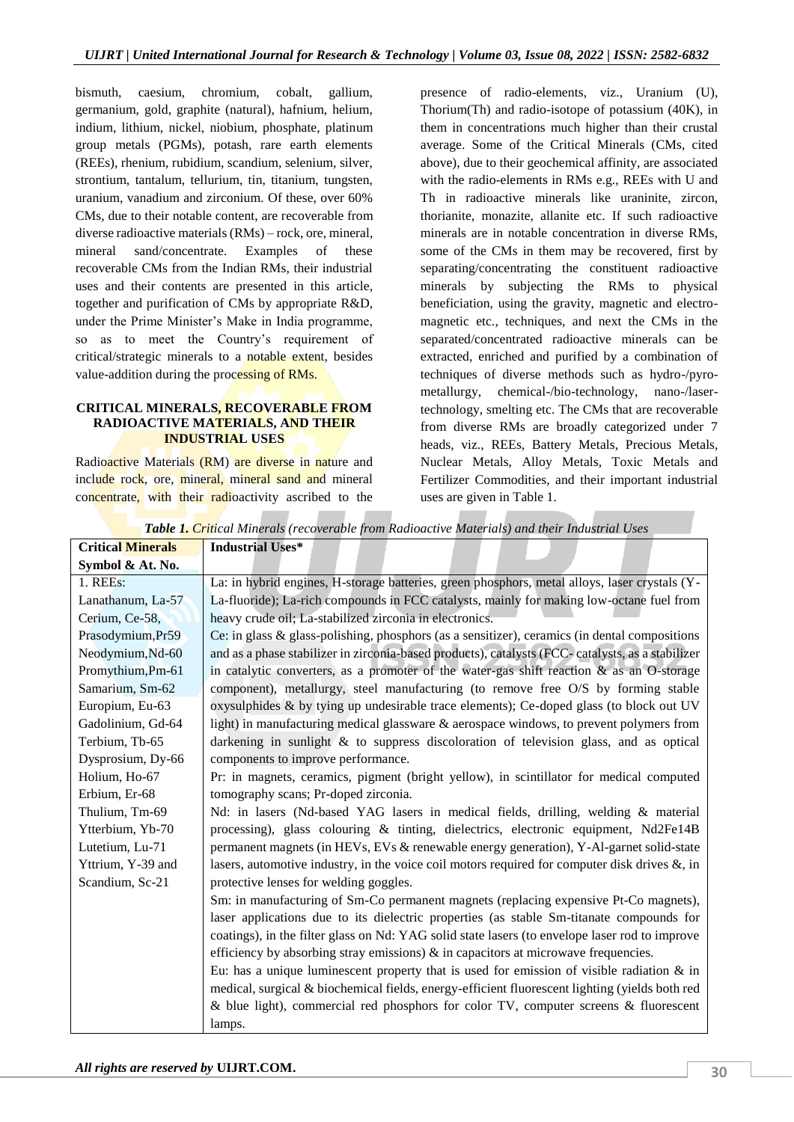bismuth, caesium, chromium, cobalt, gallium, germanium, gold, graphite (natural), hafnium, helium, indium, lithium, nickel, niobium, phosphate, platinum group metals (PGMs), potash, rare earth elements (REEs), rhenium, rubidium, scandium, selenium, silver, strontium, tantalum, tellurium, tin, titanium, tungsten, uranium, vanadium and zirconium. Of these, over 60% CMs, due to their notable content, are recoverable from diverse radioactive materials (RMs) – rock, ore, mineral, mineral sand/concentrate. Examples of these recoverable CMs from the Indian RMs, their industrial uses and their contents are presented in this article, together and purification of CMs by appropriate R&D, under the Prime Minister's Make in India programme, so as to meet the Country's requirement of critical/strategic minerals to a notable extent, besides value-addition during the processing of RMs.

### **CRITICAL MINERALS, RECOVERABLE FROM RADIOACTIVE MATERIALS, AND THEIR INDUSTRIAL USES**

Radioactive Materials (RM) are diverse in nature and include rock, ore, mineral, mineral sand and mineral concentrate, with their radioactivity ascribed to the

presence of radio-elements, viz., Uranium (U), Thorium(Th) and radio-isotope of potassium (40K), in them in concentrations much higher than their crustal average. Some of the Critical Minerals (CMs, cited above), due to their geochemical affinity, are associated with the radio-elements in RMs e.g., REEs with U and Th in radioactive minerals like uraninite, zircon, thorianite, monazite, allanite etc. If such radioactive minerals are in notable concentration in diverse RMs, some of the CMs in them may be recovered, first by separating/concentrating the constituent radioactive minerals by subjecting the RMs to physical beneficiation, using the gravity, magnetic and electromagnetic etc., techniques, and next the CMs in the separated/concentrated radioactive minerals can be extracted, enriched and purified by a combination of techniques of diverse methods such as hydro-/pyrometallurgy, chemical-/bio-technology, nano-/lasertechnology, smelting etc. The CMs that are recoverable from diverse RMs are broadly categorized under 7 heads, viz., REEs, Battery Metals, Precious Metals, Nuclear Metals, Alloy Metals, Toxic Metals and Fertilizer Commodities, and their important industrial uses are given in Table 1.

| <b>Table 1. Cri</b> tical minerals (recoverable from Kaaloactive materials) and their maustrial Oses |                                                                                                   |  |
|------------------------------------------------------------------------------------------------------|---------------------------------------------------------------------------------------------------|--|
| <b>Critical Minerals</b>                                                                             | <b>Industrial Uses*</b>                                                                           |  |
| Symbol & At. No.                                                                                     |                                                                                                   |  |
| 1. REEs:                                                                                             | La: in hybrid engines, H-storage batteries, green phosphors, metal alloys, laser crystals (Y-     |  |
| Lanathanum, La-57                                                                                    | La-fluoride); La-rich compounds in FCC catalysts, mainly for making low-octane fuel from          |  |
| Cerium, Ce-58,                                                                                       | heavy crude oil; La-stabilized zirconia in electronics.                                           |  |
| Prasodymium, Pr59                                                                                    | Ce: in glass & glass-polishing, phosphors (as a sensitizer), ceramics (in dental compositions     |  |
| Neodymium, Nd-60                                                                                     | and as a phase stabilizer in zirconia-based products), catalysts (FCC-catalysts, as a stabilizer  |  |
| Promythium, Pm-61                                                                                    | in catalytic converters, as a promoter of the water-gas shift reaction & as an O-storage          |  |
| Samarium, Sm-62                                                                                      | component), metallurgy, steel manufacturing (to remove free O/S by forming stable                 |  |
| Europium, Eu-63                                                                                      | oxysulphides & by tying up undesirable trace elements); Ce-doped glass (to block out UV           |  |
| Gadolinium, Gd-64                                                                                    | light) in manufacturing medical glassware & aerospace windows, to prevent polymers from           |  |
| Terbium, Tb-65                                                                                       | darkening in sunlight & to suppress discoloration of television glass, and as optical             |  |
| Dysprosium, Dy-66                                                                                    | components to improve performance.                                                                |  |
| Holium, Ho-67                                                                                        | Pr: in magnets, ceramics, pigment (bright yellow), in scintillator for medical computed           |  |
| Erbium, Er-68                                                                                        | tomography scans; Pr-doped zirconia.                                                              |  |
| Thulium, Tm-69                                                                                       | Nd: in lasers (Nd-based YAG lasers in medical fields, drilling, welding & material                |  |
| Ytterbium, Yb-70                                                                                     | processing), glass colouring & tinting, dielectrics, electronic equipment, Nd2Fe14B               |  |
| Lutetium, Lu-71                                                                                      | permanent magnets (in HEVs, EVs & renewable energy generation), Y-Al-garnet solid-state           |  |
| Yttrium, Y-39 and                                                                                    | lasers, automotive industry, in the voice coil motors required for computer disk drives $\&$ , in |  |
| Scandium, Sc-21                                                                                      | protective lenses for welding goggles.                                                            |  |
|                                                                                                      | Sm: in manufacturing of Sm-Co permanent magnets (replacing expensive Pt-Co magnets),              |  |
|                                                                                                      | laser applications due to its dielectric properties (as stable Sm-titanate compounds for          |  |
|                                                                                                      | coatings), in the filter glass on Nd: YAG solid state lasers (to envelope laser rod to improve    |  |
|                                                                                                      | efficiency by absorbing stray emissions) $\&$ in capacitors at microwave frequencies.             |  |
|                                                                                                      | Eu: has a unique luminescent property that is used for emission of visible radiation $\&$ in      |  |
|                                                                                                      | medical, surgical & biochemical fields, energy-efficient fluorescent lighting (yields both red    |  |
|                                                                                                      | & blue light), commercial red phosphors for color TV, computer screens & fluorescent              |  |
|                                                                                                      | lamps.                                                                                            |  |

*Table 1. Critical Minerals (recoverable from Radioactive Materials) and their Industrial Uses*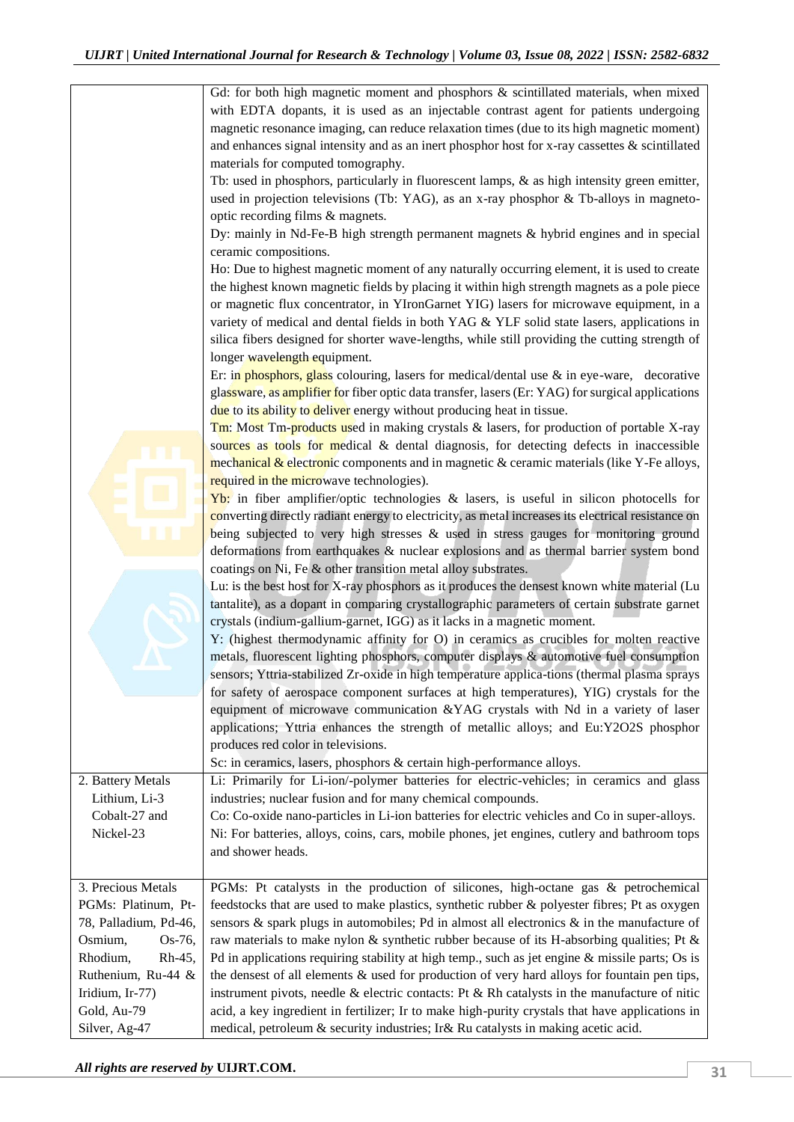Gd: for both high magnetic moment and phosphors & scintillated materials, when mixed with EDTA dopants, it is used as an injectable contrast agent for patients undergoing magnetic resonance imaging, can reduce relaxation times (due to its high magnetic moment) and enhances signal intensity and as an inert phosphor host for x-ray cassettes  $\&$  scintillated materials for computed tomography. Tb: used in phosphors, particularly in fluorescent lamps, & as high intensity green emitter, used in projection televisions (Tb: YAG), as an x-ray phosphor & Tb-alloys in magnetooptic recording films & magnets. Dy: mainly in Nd-Fe-B high strength permanent magnets & hybrid engines and in special ceramic compositions. Ho: Due to highest magnetic moment of any naturally occurring element, it is used to create the highest known magnetic fields by placing it within high strength magnets as a pole piece or magnetic flux concentrator, in YIronGarnet YIG) lasers for microwave equipment, in a variety of medical and dental fields in both YAG & YLF solid state lasers, applications in silica fibers designed for shorter wave-lengths, while still providing the cutting strength of longer wavelength equipment. Er: in phosphors, glass colouring, lasers for medical/dental use  $\&$  in eye-ware, decorative glassware, as amplifier for fiber optic data transfer, lasers (Er: YAG) for surgical applications due to its ability to deliver energy without producing heat in tissue. Tm: Most Tm-products used in making crystals & lasers, for production of portable X-ray sources as tools for medical  $\&$  dental diagnosis, for detecting defects in inaccessible mechanical  $\&$  electronic components and in magnetic  $\&$  ceramic materials (like Y-Fe alloys, required in the microwave technologies). **Yb:** in fiber amplifier/optic technologies  $\&$  lasers, is useful in silicon photocells for converting directly radiant energy to electricity, as metal increases its electrical resistance on being subjected to very high stresses & used in stress gauges for monitoring ground deformations from earthquakes & nuclear explosions and as thermal barrier system bond coatings on Ni, Fe & other transition metal alloy substrates. Lu: is the best host for X-ray phosphors as it produces the densest known white material (Lu tantalite), as a dopant in comparing crystallographic parameters of certain substrate garnet crystals (indium-gallium-garnet, IGG) as it lacks in a magnetic moment. Y: (highest thermodynamic affinity for O) in ceramics as crucibles for molten reactive metals, fluorescent lighting phosphors, computer displays & automotive fuel consumption sensors; Yttria-stabilized Zr-oxide in high temperature applica-tions (thermal plasma sprays for safety of aerospace component surfaces at high temperatures), YIG) crystals for the equipment of microwave communication &YAG crystals with Nd in a variety of laser applications; Yttria enhances the strength of metallic alloys; and Eu:Y2O2S phosphor produces red color in televisions. Sc: in ceramics, lasers, phosphors & certain high-performance alloys. 2. Battery Metals Lithium, Li-3 Cobalt-27 and Nickel-23 Li: Primarily for Li-ion/-polymer batteries for electric-vehicles; in ceramics and glass industries; nuclear fusion and for many chemical compounds. Co: Co-oxide nano-particles in Li-ion batteries for electric vehicles and Co in super-alloys. Ni: For batteries, alloys, coins, cars, mobile phones, jet engines, cutlery and bathroom tops and shower heads. 3. Precious Metals PGMs: Platinum, Pt-78, Palladium, Pd-46, Osmium, Os-76, Rhodium, Rh-45, Ruthenium, Ru-44 & Iridium, Ir-77) Gold, Au-79 Silver, Ag-47 PGMs: Pt catalysts in the production of silicones, high-octane gas & petrochemical feedstocks that are used to make plastics, synthetic rubber & polyester fibres; Pt as oxygen sensors  $\&$  spark plugs in automobiles; Pd in almost all electronics  $\&$  in the manufacture of raw materials to make nylon & synthetic rubber because of its H-absorbing qualities; Pt & Pd in applications requiring stability at high temp., such as jet engine & missile parts; Os is the densest of all elements  $\&$  used for production of very hard alloys for fountain pen tips, instrument pivots, needle  $\&$  electric contacts: Pt  $\&$  Rh catalysts in the manufacture of nitic acid, a key ingredient in fertilizer; Ir to make high-purity crystals that have applications in medical, petroleum & security industries; Ir& Ru catalysts in making acetic acid.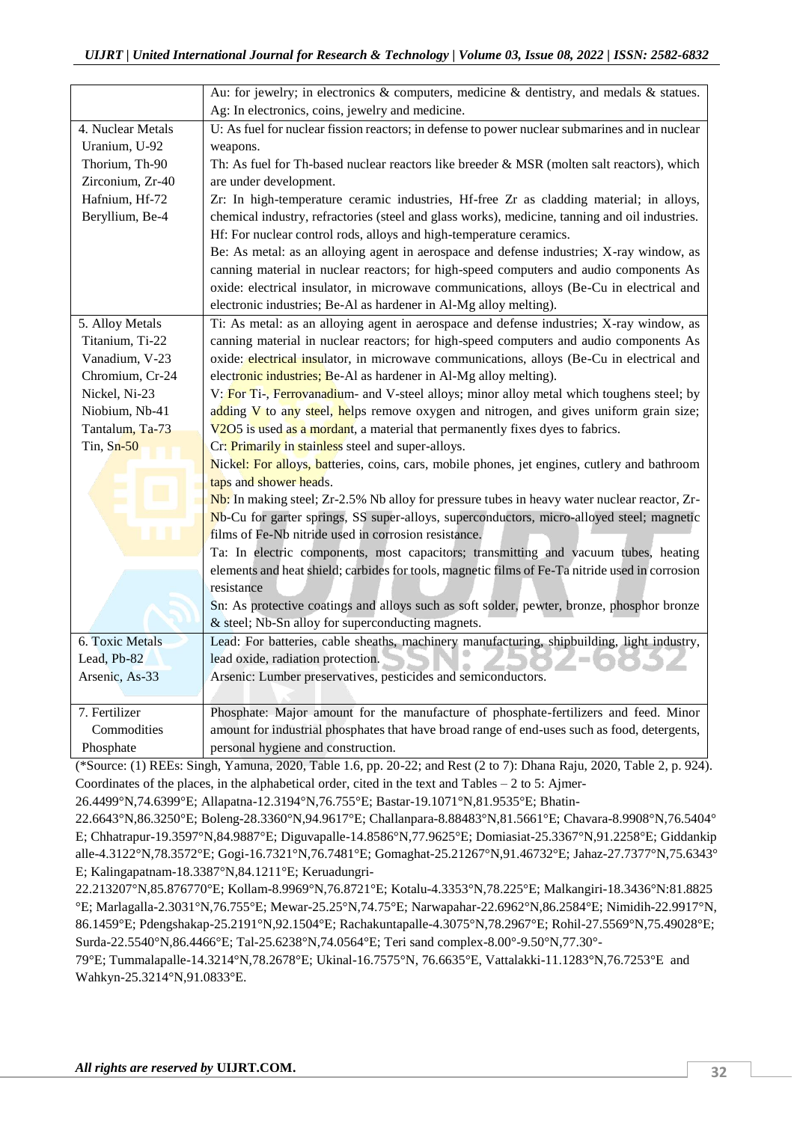|                   | Au: for jewelry; in electronics & computers, medicine & dentistry, and medals & statues.        |
|-------------------|-------------------------------------------------------------------------------------------------|
|                   | Ag: In electronics, coins, jewelry and medicine.                                                |
| 4. Nuclear Metals | U: As fuel for nuclear fission reactors; in defense to power nuclear submarines and in nuclear  |
| Uranium, U-92     | weapons.                                                                                        |
| Thorium, Th-90    | Th: As fuel for Th-based nuclear reactors like breeder & MSR (molten salt reactors), which      |
| Zirconium, Zr-40  | are under development.                                                                          |
| Hafnium, Hf-72    | Zr: In high-temperature ceramic industries, Hf-free Zr as cladding material; in alloys,         |
| Beryllium, Be-4   | chemical industry, refractories (steel and glass works), medicine, tanning and oil industries.  |
|                   | Hf: For nuclear control rods, alloys and high-temperature ceramics.                             |
|                   | Be: As metal: as an alloying agent in aerospace and defense industries; X-ray window, as        |
|                   | canning material in nuclear reactors; for high-speed computers and audio components As          |
|                   | oxide: electrical insulator, in microwave communications, alloys (Be-Cu in electrical and       |
|                   | electronic industries; Be-Al as hardener in Al-Mg alloy melting).                               |
| 5. Alloy Metals   | Ti: As metal: as an alloying agent in aerospace and defense industries; X-ray window, as        |
| Titanium, Ti-22   | canning material in nuclear reactors; for high-speed computers and audio components As          |
| Vanadium, V-23    | oxide: electrical insulator, in microwave communications, alloys (Be-Cu in electrical and       |
| Chromium, Cr-24   | electronic industries; Be-Al as hardener in Al-Mg alloy melting).                               |
| Nickel, Ni-23     | V: For Ti-, Ferrovanadium- and V-steel alloys; minor alloy metal which toughens steel; by       |
| Niobium, Nb-41    | adding V to any steel, helps remove oxygen and nitrogen, and gives uniform grain size;          |
| Tantalum, Ta-73   | V2O5 is used as a mordant, a material that permanently fixes dyes to fabrics.                   |
| Tin, $Sn-50$      | Cr: Primarily in stainless steel and super-alloys.                                              |
|                   | Nickel: For alloys, batteries, coins, cars, mobile phones, jet engines, cutlery and bathroom    |
|                   | taps and shower heads.                                                                          |
|                   | Nb: In making steel; Zr-2.5% Nb alloy for pressure tubes in heavy water nuclear reactor, Zr-    |
|                   | Nb-Cu for garter springs, SS super-alloys, superconductors, micro-alloyed steel; magnetic       |
|                   | films of Fe-Nb nitride used in corrosion resistance.                                            |
|                   | Ta: In electric components, most capacitors; transmitting and vacuum tubes, heating             |
|                   | elements and heat shield; carbides for tools, magnetic films of Fe-Ta nitride used in corrosion |
|                   | resistance                                                                                      |
|                   | Sn: As protective coatings and alloys such as soft solder, pewter, bronze, phosphor bronze      |
|                   | & steel; Nb-Sn alloy for superconducting magnets.                                               |
| 6. Toxic Metals   | Lead: For batteries, cable sheaths, machinery manufacturing, shipbuilding, light industry,      |
| Lead, Pb-82       | lead oxide, radiation protection.                                                               |
| Arsenic, As-33    | Arsenic: Lumber preservatives, pesticides and semiconductors.                                   |
|                   |                                                                                                 |
| 7. Fertilizer     | Phosphate: Major amount for the manufacture of phosphate-fertilizers and feed. Minor            |
| Commodities       | amount for industrial phosphates that have broad range of end-uses such as food, detergents,    |
| Phosphate         | personal hygiene and construction.                                                              |

(\*Source: (1) REEs: Singh, Yamuna, 2020, Table 1.6, pp. 20-22; and Rest (2 to 7): Dhana Raju, 2020, Table 2, p. 924). Coordinates of the places, in the alphabetical order, cited in the text and Tables – 2 to 5: Ajmer-

26.4499°N,74.6399°E; Allapatna-12.3194°N,76.755°E; Bastar-19.1071°N,81.9535°E; Bhatin-

22.6643°N,86.3250°E; Boleng-28.3360°N,94.9617°E; Challanpara-8.88483°N,81.5661°E; Chavara-8.9908°N,76.5404° E; Chhatrapur-19.3597°N,84.9887°E; Diguvapalle-14.8586°N,77.9625°E; Domiasiat-25.3367°N,91.2258°E; Giddankip alle-4.3122°N,78.3572°E; Gogi-16.7321°N,76.7481°E; Gomaghat-25.21267°N,91.46732°E; Jahaz-27.7377°N,75.6343° E; Kalingapatnam-18.3387°N,84.1211°E; Keruadungri-

22.213207°N,85.876770°E; Kollam-8.9969°N,76.8721°E; Kotalu-4.3353°N,78.225°E; Malkangiri-18.3436°N:81.8825 °E; Marlagalla-2.3031°N,76.755°E; Mewar-25.25°N,74.75°E; Narwapahar-22.6962°N,86.2584°E; Nimidih-22.9917°N, 86.1459°E; Pdengshakap-25.2191°N,92.1504°E; Rachakuntapalle-4.3075°N,78.2967°E; Rohil-27.5569°N,75.49028°E; Surda-22.5540°N,86.4466°E; Tal-25.6238°N,74.0564°E; Teri sand complex-8.00°-9.50°N,77.30°-

79°E; Tummalapalle-14.3214°N,78.2678°E; Ukinal-16.7575°N, 76.6635°E, Vattalakki-11.1283°N,76.7253°E and Wahkyn-25.3214°N,91.0833°E.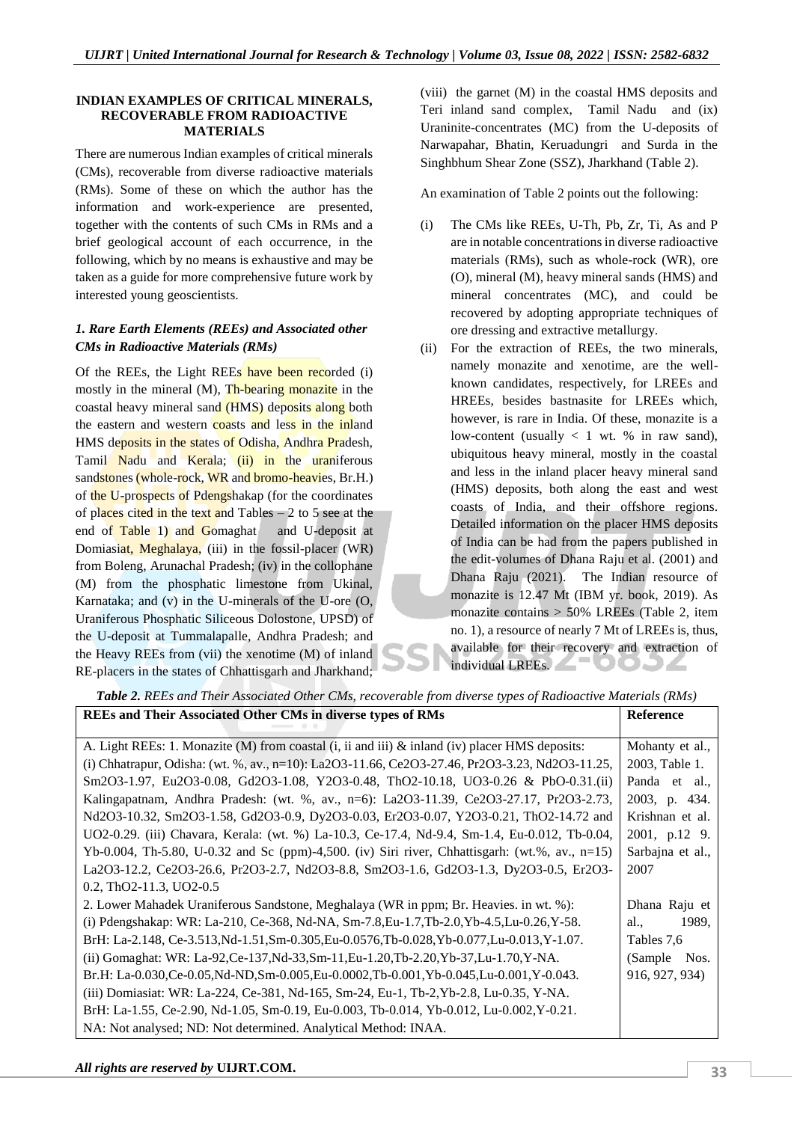#### **INDIAN EXAMPLES OF CRITICAL MINERALS, RECOVERABLE FROM RADIOACTIVE MATERIALS**

There are numerous Indian examples of critical minerals (CMs), recoverable from diverse radioactive materials (RMs). Some of these on which the author has the information and work-experience are presented, together with the contents of such CMs in RMs and a brief geological account of each occurrence, in the following, which by no means is exhaustive and may be taken as a guide for more comprehensive future work by interested young geoscientists.

## *1. Rare Earth Elements (REEs) and Associated other CMs in Radioactive Materials (RMs)*

Of the REEs, the Light REEs have been recorded (i) mostly in the mineral (M), Th-bearing monazite in the coastal heavy mineral sand (HMS) deposits along both the eastern and western coasts and less in the inland HMS deposits in the states of Odisha, Andhra Pradesh, Tamil Nadu and Kerala; (ii) in the uraniferous sandstones (whole-rock, WR and bromo-heavies, Br.H.) of the U-prospects of Pdengshakap (for the coordinates of places cited in the text and Tables  $-2$  to 5 see at the end of Table 1) and Gomaghat and U-deposit at Domiasiat, Meghalaya, (iii) in the fossil-placer (WR) from Boleng, Arunachal Pradesh; (iv) in the collophane (M) from the phosphatic limestone from Ukinal, Karnataka; and (v) in the U-minerals of the U-ore (O, Uraniferous Phosphatic Siliceous Dolostone, UPSD) of the U-deposit at Tummalapalle, Andhra Pradesh; and the Heavy REEs from (vii) the xenotime (M) of inland RE-placers in the states of Chhattisgarh and Jharkhand;

(viii) the garnet (M) in the coastal HMS deposits and Teri inland sand complex, Tamil Nadu and (ix) Uraninite-concentrates (MC) from the U-deposits of Narwapahar, Bhatin, Keruadungri and Surda in the Singhbhum Shear Zone (SSZ), Jharkhand (Table 2).

An examination of Table 2 points out the following:

- (i) The CMs like REEs, U-Th, Pb, Zr, Ti, As and P are in notable concentrations in diverse radioactive materials (RMs), such as whole-rock (WR), ore (O), mineral (M), heavy mineral sands (HMS) and mineral concentrates (MC), and could be recovered by adopting appropriate techniques of ore dressing and extractive metallurgy.
- (ii) For the extraction of REEs, the two minerals, namely monazite and xenotime, are the wellknown candidates, respectively, for LREEs and HREEs, besides bastnasite for LREEs which, however, is rare in India. Of these, monazite is a low-content (usually  $\langle 1 \rangle$  wt. % in raw sand), ubiquitous heavy mineral, mostly in the coastal and less in the inland placer heavy mineral sand (HMS) deposits, both along the east and west coasts of India, and their offshore regions. Detailed information on the placer HMS deposits of India can be had from the papers published in the edit-volumes of Dhana Raju et al. (2001) and Dhana Raju (2021). The Indian resource of monazite is 12.47 Mt (IBM yr. book, 2019). As monazite contains > 50% LREEs (Table 2, item no. 1), a resource of nearly 7 Mt of LREEs is, thus, available for their recovery and extraction of individual LREEs. DOJZ

| <b>REEs and Their Associated Other CMs in diverse types of RMs</b>                                | <b>Reference</b> |
|---------------------------------------------------------------------------------------------------|------------------|
|                                                                                                   |                  |
| A. Light REEs: 1. Monazite (M) from coastal (i, ii and iii) $\&$ inland (iv) placer HMS deposits: | Mohanty et al.,  |
| (i) Chhatrapur, Odisha: (wt. %, av., n=10): La2O3-11.66, Ce2O3-27.46, Pr2O3-3.23, Nd2O3-11.25,    | 2003, Table 1.   |
| Sm2O3-1.97, Eu2O3-0.08, Gd2O3-1.08, Y2O3-0.48, ThO2-10.18, UO3-0.26 & PbO-0.31.(ii)               | Panda et al.,    |
| Kalingapatnam, Andhra Pradesh: (wt. %, av., n=6): La2O3-11.39, Ce2O3-27.17, Pr2O3-2.73,           | 2003, p. 434.    |
| Nd2O3-10.32, Sm2O3-1.58, Gd2O3-0.9, Dy2O3-0.03, Er2O3-0.07, Y2O3-0.21, ThO2-14.72 and             | Krishnan et al.  |
| UO2-0.29. (iii) Chavara, Kerala: (wt. %) La-10.3, Ce-17.4, Nd-9.4, Sm-1.4, Eu-0.012, Tb-0.04,     | 2001, p.12 9.    |
| Yb-0.004, Th-5.80, U-0.32 and Sc (ppm)-4,500. (iv) Siri river, Chhattisgarh: (wt.%, av., n=15)    | Sarbajna et al., |
| La2O3-12.2, Ce2O3-26.6, Pr2O3-2.7, Nd2O3-8.8, Sm2O3-1.6, Gd2O3-1.3, Dy2O3-0.5, Er2O3-             | 2007             |
| 0.2, ThO2-11.3, UO2-0.5                                                                           |                  |
| 2. Lower Mahadek Uraniferous Sandstone, Meghalaya (WR in ppm; Br. Heavies. in wt. %):             | Dhana Raju et    |
| (i) Pdengshakap: WR: La-210, Ce-368, Nd-NA, Sm-7.8, Eu-1.7, Tb-2.0, Yb-4.5, Lu-0.26, Y-58.        | 1989.<br>al.,    |
| BrH: La-2.148, Ce-3.513, Nd-1.51, Sm-0.305, Eu-0.0576, Tb-0.028, Yb-0.077, Lu-0.013, Y-1.07.      | Tables 7.6       |
| (ii) Gomaghat: WR: La-92, Ce-137, Nd-33, Sm-11, Eu-1.20, Tb-2.20, Yb-37, Lu-1.70, Y-NA.           | (Sample)<br>Nos. |
| Br.H: La-0.030,Ce-0.05,Nd-ND,Sm-0.005,Eu-0.0002,Tb-0.001,Yb-0.045,Lu-0.001,Y-0.043.               | 916, 927, 934)   |
| (iii) Domiasiat: WR: La-224, Ce-381, Nd-165, Sm-24, Eu-1, Tb-2, Yb-2.8, Lu-0.35, Y-NA.            |                  |
| BrH: La-1.55, Ce-2.90, Nd-1.05, Sm-0.19, Eu-0.003, Tb-0.014, Yb-0.012, Lu-0.002, Y-0.21.          |                  |
| NA: Not analysed; ND: Not determined. Analytical Method: INAA.                                    |                  |

 $\overline{\phantom{0}}$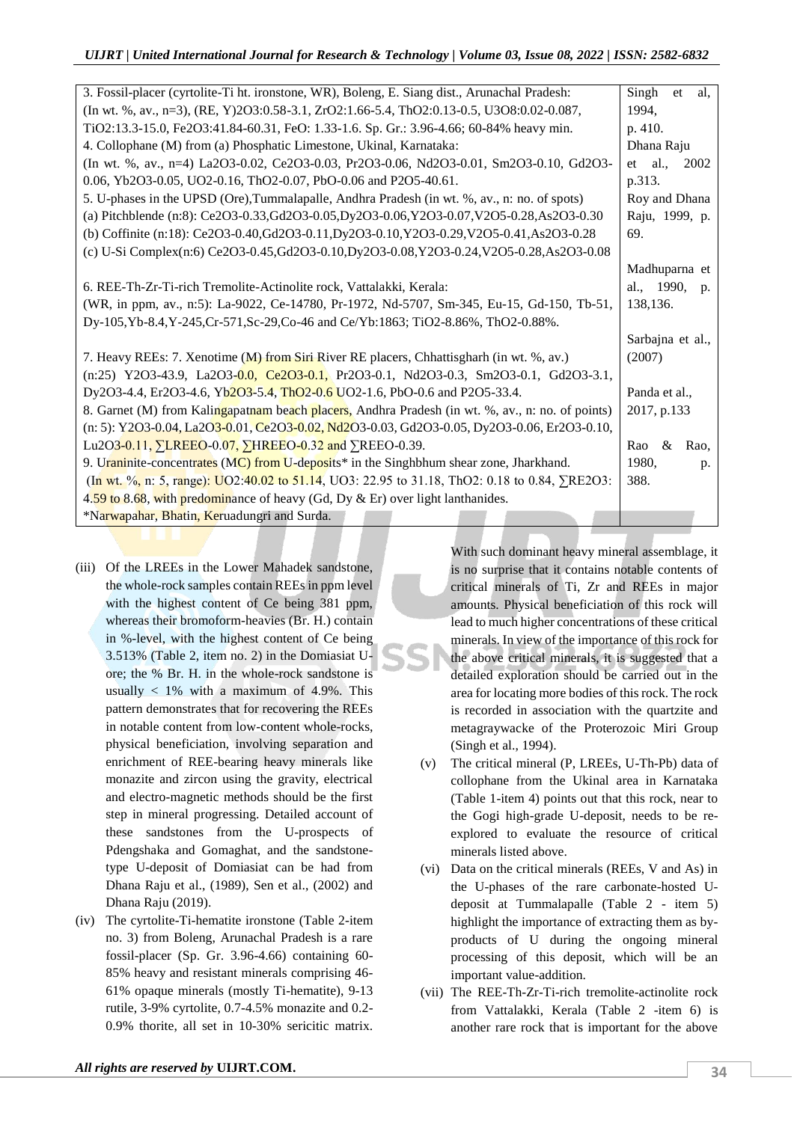| 3. Fossil-placer (cyrtolite-Ti ht. ironstone, WR), Boleng, E. Siang dist., Arunachal Pradesh:         | Singh<br>et<br>al.  |
|-------------------------------------------------------------------------------------------------------|---------------------|
| (In wt. %, av., n=3), (RE, Y)2O3:0.58-3.1, ZrO2:1.66-5.4, ThO2:0.13-0.5, U3O8:0.02-0.087,             | 1994,               |
| TiO2:13.3-15.0, Fe2O3:41.84-60.31, FeO: 1.33-1.6. Sp. Gr.: 3.96-4.66; 60-84% heavy min.               | p. 410.             |
| 4. Collophane (M) from (a) Phosphatic Limestone, Ukinal, Karnataka:                                   | Dhana Raju          |
| (In wt. %, av., n=4) La2O3-0.02, Ce2O3-0.03, Pr2O3-0.06, Nd2O3-0.01, Sm2O3-0.10, Gd2O3-               | et al.<br>2002      |
| 0.06, Yb2O3-0.05, UO2-0.16, ThO2-0.07, PbO-0.06 and P2O5-40.61.                                       | p.313.              |
| 5. U-phases in the UPSD (Ore), Tummalapalle, Andhra Pradesh (in wt. %, av., n: no. of spots)          | Roy and Dhana       |
| (a) Pitchblende (n:8): Ce2O3-0.33, Gd2O3-0.05, Dy2O3-0.06, Y2O3-0.07, V2O5-0.28, As2O3-0.30           | Raju, 1999, p.      |
| (b) Coffinite (n:18): Ce2O3-0.40, Gd2O3-0.11, Dy2O3-0.10, Y2O3-0.29, V2O5-0.41, As2O3-0.28            | 69.                 |
| (c) U-Si Complex(n:6) Ce2O3-0.45, Gd2O3-0.10, Dy2O3-0.08, Y2O3-0.24, V2O5-0.28, As2O3-0.08            |                     |
|                                                                                                       | Madhuparna et       |
| 6. REE-Th-Zr-Ti-rich Tremolite-Actinolite rock, Vattalakki, Kerala:                                   | al., 1990,<br>p.    |
| (WR, in ppm, av., n:5): La-9022, Ce-14780, Pr-1972, Nd-5707, Sm-345, Eu-15, Gd-150, Tb-51,            | 138,136.            |
| Dy-105, Yb-8.4, Y-245, Cr-571, Sc-29, Co-46 and Ce/Yb:1863; TiO2-8.86%, ThO2-0.88%.                   |                     |
|                                                                                                       | Sarbajna et al.,    |
| 7. Heavy REEs: 7. Xenotime (M) from Siri River RE placers, Chhattisgharh (in wt. %, av.)              | (2007)              |
| (n:25) Y2O3-43.9, La2O3-0.0, Ce2O3-0.1, Pr2O3-0.1, Nd2O3-0.3, Sm2O3-0.1, Gd2O3-3.1,                   |                     |
| Dy2O3-4.4, Er2O3-4.6, Yb2O3-5.4, ThO2-0.6 UO2-1.6, PbO-0.6 and P2O5-33.4.                             | Panda et al.,       |
| 8. Garnet (M) from Kalingapatnam beach placers, Andhra Pradesh (in wt. %, av., n: no. of points)      | 2017, p.133         |
| (n: 5): Y2O3-0.04, La2O3-0.01, Ce2O3-0.02, Nd2O3-0.03, Gd2O3-0.05, Dy2O3-0.06, Er2O3-0.10,            |                     |
| Lu2O3-0.11, $\sum$ LREEO-0.07, $\sum$ HREEO-0.32 and $\sum$ REEO-0.39.                                | $\&$<br>Rao<br>Rao, |
| 9. Uraninite-concentrates (MC) from U-deposits <sup>*</sup> in the Singhbhum shear zone, Jharkhand.   | 1980.<br>p.         |
| (In wt. %, n: 5, range): UO2:40.02 to 51.14, UO3: 22.95 to 31.18, ThO2: 0.18 to 0.84, $\Sigma$ RE2O3: | 388.                |
| 4.59 to 8.68, with predominance of heavy (Gd, Dy & Er) over light lanthanides.                        |                     |
| *Narwapahar, Bhatin, Keruadungri and Surda.                                                           |                     |

- (iii) Of the LREEs in the Lower Mahadek sandstone, the whole-rock samples contain REEs in ppm level with the highest content of Ce being 381 ppm, whereas their bromoform-heavies (Br. H.) contain in %-level, with the highest content of Ce being 3.513% (Table 2, item no. 2) in the Domiasiat Uore; the % Br. H. in the whole-rock sandstone is usually  $< 1\%$  with a maximum of 4.9%. This pattern demonstrates that for recovering the REEs in notable content from low-content whole-rocks, physical beneficiation, involving separation and enrichment of REE-bearing heavy minerals like monazite and zircon using the gravity, electrical and electro-magnetic methods should be the first step in mineral progressing. Detailed account of these sandstones from the U-prospects of Pdengshaka and Gomaghat, and the sandstonetype U-deposit of Domiasiat can be had from Dhana Raju et al., (1989), Sen et al., (2002) and Dhana Raju (2019).
- (iv) The cyrtolite-Ti-hematite ironstone (Table 2-item no. 3) from Boleng, Arunachal Pradesh is a rare fossil-placer (Sp. Gr. 3.96-4.66) containing 60- 85% heavy and resistant minerals comprising 46- 61% opaque minerals (mostly Ti-hematite), 9-13 rutile, 3-9% cyrtolite, 0.7-4.5% monazite and 0.2- 0.9% thorite, all set in 10-30% sericitic matrix.

With such dominant heavy mineral assemblage, it is no surprise that it contains notable contents of critical minerals of Ti, Zr and REEs in major amounts. Physical beneficiation of this rock will lead to much higher concentrations of these critical minerals. In view of the importance of this rock for the above critical minerals, it is suggested that a detailed exploration should be carried out in the area for locating more bodies of this rock. The rock is recorded in association with the quartzite and metagraywacke of the Proterozoic Miri Group (Singh et al., 1994).

- (v) The critical mineral (P, LREEs, U-Th-Pb) data of collophane from the Ukinal area in Karnataka (Table 1-item 4) points out that this rock, near to the Gogi high-grade U-deposit, needs to be reexplored to evaluate the resource of critical minerals listed above.
- (vi) Data on the critical minerals (REEs, V and As) in the U-phases of the rare carbonate-hosted Udeposit at Tummalapalle (Table 2 - item 5) highlight the importance of extracting them as byproducts of U during the ongoing mineral processing of this deposit, which will be an important value-addition.
- (vii) The REE-Th-Zr-Ti-rich tremolite-actinolite rock from Vattalakki, Kerala (Table 2 -item 6) is another rare rock that is important for the above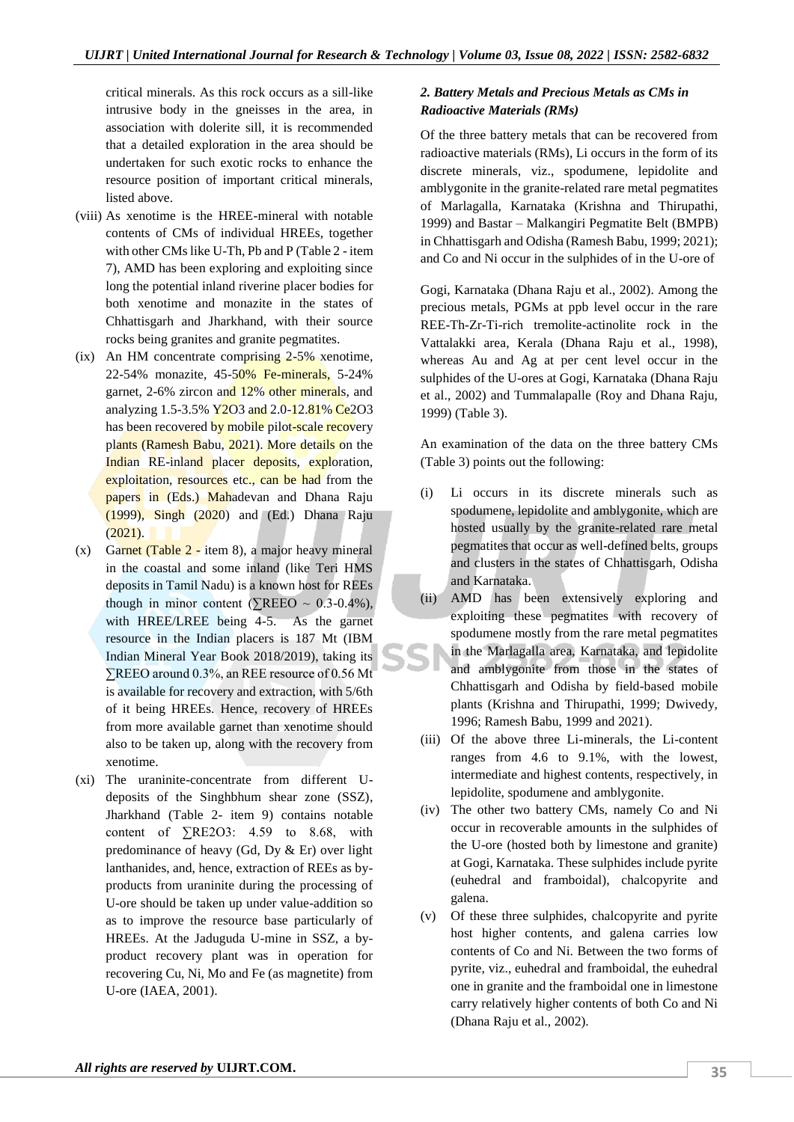critical minerals. As this rock occurs as a sill-like intrusive body in the gneisses in the area, in association with dolerite sill, it is recommended that a detailed exploration in the area should be undertaken for such exotic rocks to enhance the resource position of important critical minerals, listed above.

- (viii) As xenotime is the HREE-mineral with notable contents of CMs of individual HREEs, together with other CMs like U-Th, Pb and P (Table 2 - item 7), AMD has been exploring and exploiting since long the potential inland riverine placer bodies for both xenotime and monazite in the states of Chhattisgarh and Jharkhand, with their source rocks being granites and granite pegmatites.
- (ix) An HM concentrate comprising 2-5% xenotime, 22-54% monazite, 45-50% Fe-minerals, 5-24% garnet, 2-6% zircon and 12% other minerals, and analyzing 1.5-3.5% **Y2O3** and 2.0-12.81% Ce2O3 has been recovered by mobile pilot-scale recovery plants (Ramesh Babu, 2021). More details on the Indian RE-inland placer deposits, exploration, exploitation, resources etc., can be had from the papers in (Eds.) Mahadevan and Dhana Raju (1999), Singh (2020) and (Ed.) Dhana Raju  $(2021).$
- (x) Garnet (Table  $2$  item 8), a major heavy mineral in the coastal and some inland (like Teri HMS deposits in Tamil Nadu) is a known host for REEs though in minor content ( $\sqrt{\text{REEO}} \sim 0.3{\text -}0.4\%$ ), with HREE/LREE being 4-5. As the garnet resource in the Indian placers is 187 Mt (IBM Indian Mineral Year Book 2018/2019), taking its ∑REEO around 0.3%, an REE resource of 0.56 Mt is available for recovery and extraction, with 5/6th of it being HREEs. Hence, recovery of HREEs from more available garnet than xenotime should also to be taken up, along with the recovery from xenotime.
- (xi) The uraninite-concentrate from different Udeposits of the Singhbhum shear zone (SSZ), Jharkhand (Table 2- item 9) contains notable content of  $\Sigma$ RE2O3: 4.59 to 8.68, with predominance of heavy (Gd, Dy & Er) over light lanthanides, and, hence, extraction of REEs as byproducts from uraninite during the processing of U-ore should be taken up under value-addition so as to improve the resource base particularly of HREEs. At the Jaduguda U-mine in SSZ, a byproduct recovery plant was in operation for recovering Cu, Ni, Mo and Fe (as magnetite) from U-ore (IAEA, 2001).

# *2. Battery Metals and Precious Metals as CMs in Radioactive Materials (RMs)*

Of the three battery metals that can be recovered from radioactive materials (RMs), Li occurs in the form of its discrete minerals, viz., spodumene, lepidolite and amblygonite in the granite-related rare metal pegmatites of Marlagalla, Karnataka (Krishna and Thirupathi, 1999) and Bastar – Malkangiri Pegmatite Belt (BMPB) in Chhattisgarh and Odisha (Ramesh Babu, 1999; 2021); and Co and Ni occur in the sulphides of in the U-ore of

Gogi, Karnataka (Dhana Raju et al., 2002). Among the precious metals, PGMs at ppb level occur in the rare REE-Th-Zr-Ti-rich tremolite-actinolite rock in the Vattalakki area, Kerala (Dhana Raju et al., 1998), whereas Au and Ag at per cent level occur in the sulphides of the U-ores at Gogi, Karnataka (Dhana Raju et al., 2002) and Tummalapalle (Roy and Dhana Raju, 1999) (Table 3).

An examination of the data on the three battery CMs (Table 3) points out the following:

- (i) Li occurs in its discrete minerals such as spodumene, lepidolite and amblygonite, which are hosted usually by the granite-related rare metal pegmatites that occur as well-defined belts, groups and clusters in the states of Chhattisgarh, Odisha and Karnataka.
- (ii) AMD has been extensively exploring and exploiting these pegmatites with recovery of spodumene mostly from the rare metal pegmatites in the Marlagalla area, Karnataka, and lepidolite and amblygonite from those in the states of Chhattisgarh and Odisha by field-based mobile plants (Krishna and Thirupathi, 1999; Dwivedy, 1996; Ramesh Babu, 1999 and 2021).
- (iii) Of the above three Li-minerals, the Li-content ranges from 4.6 to 9.1%, with the lowest, intermediate and highest contents, respectively, in lepidolite, spodumene and amblygonite.
- (iv) The other two battery CMs, namely Co and Ni occur in recoverable amounts in the sulphides of the U-ore (hosted both by limestone and granite) at Gogi, Karnataka. These sulphides include pyrite (euhedral and framboidal), chalcopyrite and galena.
- (v) Of these three sulphides, chalcopyrite and pyrite host higher contents, and galena carries low contents of Co and Ni. Between the two forms of pyrite, viz., euhedral and framboidal, the euhedral one in granite and the framboidal one in limestone carry relatively higher contents of both Co and Ni (Dhana Raju et al., 2002).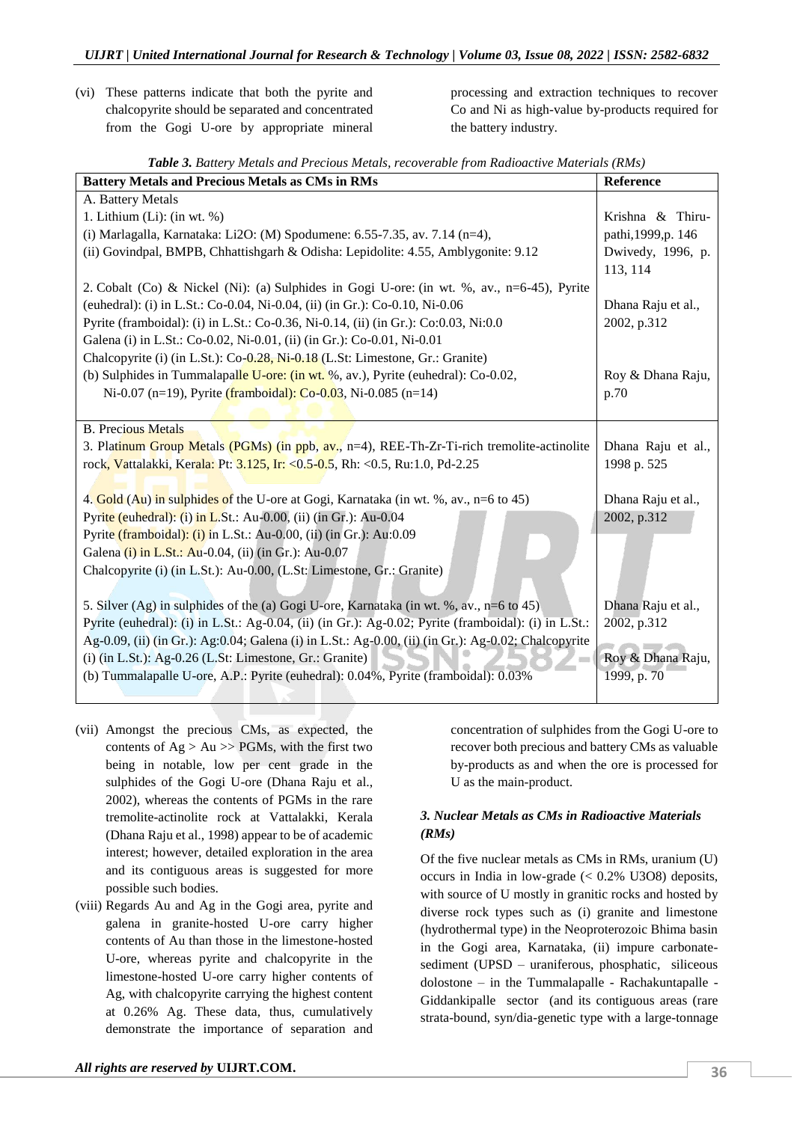(vi) These patterns indicate that both the pyrite and chalcopyrite should be separated and concentrated from the Gogi U-ore by appropriate mineral processing and extraction techniques to recover Co and Ni as high-value by-products required for the battery industry.

|  |  | Table 3. Battery Metals and Precious Metals, recoverable from Radioactive Materials (RMs) |  |
|--|--|-------------------------------------------------------------------------------------------|--|
|--|--|-------------------------------------------------------------------------------------------|--|

| <b>Battery Metals and Precious Metals as CMs in RMs</b>                                              | <b>Reference</b>    |
|------------------------------------------------------------------------------------------------------|---------------------|
| A. Battery Metals                                                                                    |                     |
| 1. Lithium $(Li)$ : (in wt. %)                                                                       | Krishna & Thiru-    |
| (i) Marlagalla, Karnataka: Li2O: (M) Spodumene: 6.55-7.35, av. 7.14 (n=4),                           | pathi, 1999, p. 146 |
| (ii) Govindpal, BMPB, Chhattishgarh & Odisha: Lepidolite: 4.55, Amblygonite: 9.12                    | Dwivedy, 1996, p.   |
|                                                                                                      | 113, 114            |
| 2. Cobalt (Co) & Nickel (Ni): (a) Sulphides in Gogi U-ore: (in wt. %, av., n=6-45), Pyrite           |                     |
| (euhedral): (i) in L.St.: Co-0.04, Ni-0.04, (ii) (in Gr.): Co-0.10, Ni-0.06                          | Dhana Raju et al.,  |
| Pyrite (framboidal): (i) in L.St.: Co-0.36, Ni-0.14, (ii) (in Gr.): Co:0.03, Ni:0.0                  | 2002, p.312         |
| Galena (i) in L.St.: Co-0.02, Ni-0.01, (ii) (in Gr.): Co-0.01, Ni-0.01                               |                     |
| Chalcopyrite (i) (in L.St.): Co-0.28, Ni-0.18 (L.St: Limestone, Gr.: Granite)                        |                     |
| (b) Sulphides in Tummalapalle U-ore: (in wt. %, av.), Pyrite (euhedral): Co-0.02,                    | Roy & Dhana Raju,   |
| Ni-0.07 (n=19), Pyrite (framboidal): Co-0.03, Ni-0.085 (n=14)                                        | p.70                |
|                                                                                                      |                     |
| <b>B.</b> Precious Metals                                                                            |                     |
| 3. Platinum Group Metals (PGMs) (in ppb, av., n=4), REE-Th-Zr-Ti-rich tremolite-actinolite           | Dhana Raju et al.,  |
| rock, Vattalakki, Kerala: Pt: 3.125, Ir: < 0.5-0.5, Rh: < 0.5, Ru: 1.0, Pd-2.25                      | 1998 p. 525         |
|                                                                                                      |                     |
| 4. Gold (Au) in sulphides of the U-ore at Gogi, Karnataka (in wt. %, av., n=6 to 45)                 | Dhana Raju et al.,  |
| Pyrite (euhedral): (i) in L.St.: Au-0.00, (ii) (in Gr.): Au-0.04                                     | 2002, p.312         |
| Pyrite (framboidal): (i) in L.St.: Au-0.00, (ii) (in Gr.): Au:0.09                                   |                     |
| Galena (i) in L.St.: Au-0.04, (ii) (in Gr.): Au-0.07                                                 |                     |
| Chalcopyrite (i) (in L.St.): Au-0.00, (L.St: Limestone, Gr.: Granite)                                |                     |
|                                                                                                      |                     |
| 5. Silver (Ag) in sulphides of the (a) Gogi U-ore, Karnataka (in wt. %, av., n=6 to 45)              | Dhana Raju et al.,  |
| Pyrite (euhedral): (i) in L.St.: Ag-0.04, (ii) (in Gr.): Ag-0.02; Pyrite (framboidal): (i) in L.St.: | 2002, p.312         |
| Ag-0.09, (ii) (in Gr.): Ag:0.04; Galena (i) in L.St.: Ag-0.00, (ii) (in Gr.): Ag-0.02; Chalcopyrite  |                     |
| (i) (in L.St.): Ag-0.26 (L.St: Limestone, Gr.: Granite)                                              | Roy & Dhana Raju,   |
| (b) Tummalapalle U-ore, A.P.: Pyrite (euhedral): 0.04%, Pyrite (framboidal): 0.03%                   | 1999, p. 70         |
|                                                                                                      |                     |

- (vii) Amongst the precious CMs, as expected, the contents of  $Ag > Au \gg PGMs$ , with the first two being in notable, low per cent grade in the sulphides of the Gogi U-ore (Dhana Raju et al., 2002), whereas the contents of PGMs in the rare tremolite-actinolite rock at Vattalakki, Kerala (Dhana Raju et al., 1998) appear to be of academic interest; however, detailed exploration in the area and its contiguous areas is suggested for more possible such bodies.
- (viii) Regards Au and Ag in the Gogi area, pyrite and galena in granite-hosted U-ore carry higher contents of Au than those in the limestone-hosted U-ore, whereas pyrite and chalcopyrite in the limestone-hosted U-ore carry higher contents of Ag, with chalcopyrite carrying the highest content at 0.26% Ag. These data, thus, cumulatively demonstrate the importance of separation and

concentration of sulphides from the Gogi U-ore to recover both precious and battery CMs as valuable by-products as and when the ore is processed for U as the main-product.

# *3. Nuclear Metals as CMs in Radioactive Materials (RMs)*

Of the five nuclear metals as CMs in RMs, uranium (U) occurs in India in low-grade  $( $0.2\%$  U3O8) deposits,$ with source of U mostly in granitic rocks and hosted by diverse rock types such as (i) granite and limestone (hydrothermal type) in the Neoproterozoic Bhima basin in the Gogi area, Karnataka, (ii) impure carbonatesediment (UPSD – uraniferous, phosphatic, siliceous dolostone – in the Tummalapalle - Rachakuntapalle - Giddankipalle sector (and its contiguous areas (rare strata-bound, syn/dia-genetic type with a large-tonnage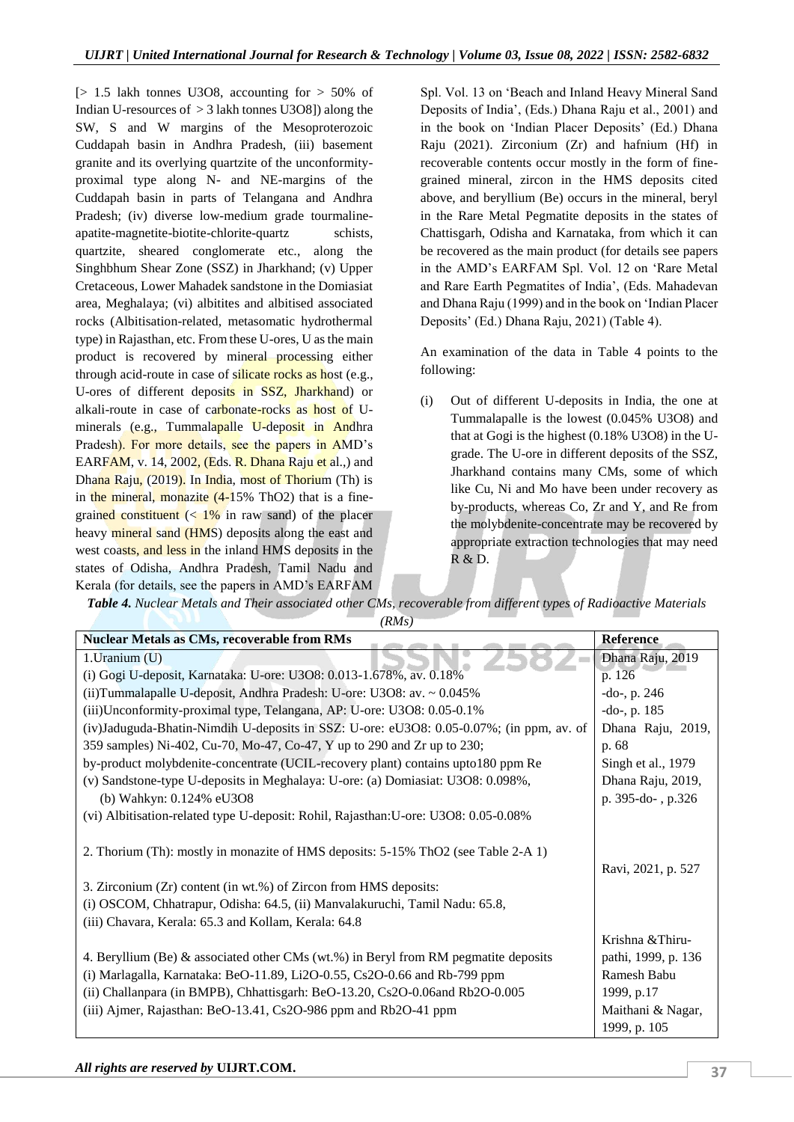$[> 1.5$  lakh tonnes U3O8, accounting for  $> 50\%$  of Indian U-resources of  $>$  3 lakh tonnes U3O8]) along the SW, S and W margins of the Mesoproterozoic Cuddapah basin in Andhra Pradesh, (iii) basement granite and its overlying quartzite of the unconformityproximal type along N- and NE-margins of the Cuddapah basin in parts of Telangana and Andhra Pradesh; (iv) diverse low-medium grade tourmalineapatite-magnetite-biotite-chlorite-quartz schists, quartzite, sheared conglomerate etc., along the Singhbhum Shear Zone (SSZ) in Jharkhand; (v) Upper Cretaceous, Lower Mahadek sandstone in the Domiasiat area, Meghalaya; (vi) albitites and albitised associated rocks (Albitisation-related, metasomatic hydrothermal type) in Rajasthan, etc. From these U-ores, U as the main product is recovered by mineral processing either through acid-route in case of silicate rocks as host (e.g., U-ores of different deposits in SSZ, Jharkhand) or alkali-route in case of carbonate-rocks as host of Uminerals (e.g., Tummalapalle U-deposit in Andhra Pradesh). For more details, see the papers in AMD's EARFAM, v. 14, 2002, (Eds. R. Dhana Raju et al.,) and Dhana Raju, (2019). In India, most of Thorium (Th) is in the mineral, monazite  $(4-15\% \text{ ThO2})$  that is a finegrained constituent  $\left($  <  $1\%$  in raw sand) of the placer heavy mineral sand (HMS) deposits along the east and west coasts, and less in the inland HMS deposits in the states of Odisha, Andhra Pradesh, Tamil Nadu and Kerala (for details, see the papers in AMD's EARFAM

Spl. Vol. 13 on 'Beach and Inland Heavy Mineral Sand Deposits of India', (Eds.) Dhana Raju et al., 2001) and in the book on 'Indian Placer Deposits' (Ed.) Dhana Raju (2021). Zirconium (Zr) and hafnium (Hf) in recoverable contents occur mostly in the form of finegrained mineral, zircon in the HMS deposits cited above, and beryllium (Be) occurs in the mineral, beryl in the Rare Metal Pegmatite deposits in the states of Chattisgarh, Odisha and Karnataka, from which it can be recovered as the main product (for details see papers in the AMD's EARFAM Spl. Vol. 12 on 'Rare Metal and Rare Earth Pegmatites of India', (Eds. Mahadevan and Dhana Raju (1999) and in the book on 'Indian Placer Deposits' (Ed.) Dhana Raju, 2021) (Table 4).

An examination of the data in Table 4 points to the following:

(i) Out of different U-deposits in India, the one at Tummalapalle is the lowest (0.045% U3O8) and that at Gogi is the highest (0.18% U3O8) in the Ugrade. The U-ore in different deposits of the SSZ, Jharkhand contains many CMs, some of which like Cu, Ni and Mo have been under recovery as by-products, whereas Co, Zr and Y, and Re from the molybdenite-concentrate may be recovered by appropriate extraction technologies that may need R & D.

*Table 4. Nuclear Metals and Their associated other CMs, recoverable from different types of Radioactive Materials (RMs)*

| <b>Nuclear Metals as CMs, recoverable from RMs</b>                                      | Reference           |
|-----------------------------------------------------------------------------------------|---------------------|
| 1. Uranium (U)                                                                          | Dhana Raju, 2019    |
| (i) Gogi U-deposit, Karnataka: U-ore: U3O8: 0.013-1.678%, av. 0.18%                     | p. 126              |
| (ii) Tummalapalle U-deposit, Andhra Pradesh: U-ore: U3O8: av. ~ 0.045%                  | $-do-, p. 246$      |
| (iii) Unconformity-proximal type, Telangana, AP: U-ore: U3O8: 0.05-0.1%                 | $-do-, p. 185$      |
| (iv)Jaduguda-Bhatin-Nimdih U-deposits in SSZ: U-ore: eU3O8: 0.05-0.07%; (in ppm, av. of | Dhana Raju, 2019,   |
| 359 samples) Ni-402, Cu-70, Mo-47, Co-47, Y up to 290 and Zr up to 230;                 | p. 68               |
| by-product molybdenite-concentrate (UCIL-recovery plant) contains upto 180 ppm Re       | Singh et al., 1979  |
| (v) Sandstone-type U-deposits in Meghalaya: U-ore: (a) Domiasiat: U3O8: 0.098%,         | Dhana Raju, 2019,   |
| (b) Wahkyn: 0.124% eU3O8                                                                | p. 395-do-, p.326   |
| (vi) Albitisation-related type U-deposit: Rohil, Rajasthan: U-ore: U3O8: 0.05-0.08%     |                     |
|                                                                                         |                     |
| 2. Thorium (Th): mostly in monazite of HMS deposits: 5-15% ThO2 (see Table 2-A 1)       |                     |
|                                                                                         | Ravi, 2021, p. 527  |
| 3. Zirconium (Zr) content (in wt.%) of Zircon from HMS deposits:                        |                     |
| (i) OSCOM, Chhatrapur, Odisha: 64.5, (ii) Manvalakuruchi, Tamil Nadu: 65.8,             |                     |
| (iii) Chavara, Kerala: 65.3 and Kollam, Kerala: 64.8                                    |                     |
|                                                                                         | Krishna & Thiru-    |
| 4. Beryllium (Be) $\&$ associated other CMs (wt.%) in Beryl from RM pegmatite deposits  | pathi, 1999, p. 136 |
| (i) Marlagalla, Karnataka: BeO-11.89, Li2O-0.55, Cs2O-0.66 and Rb-799 ppm               | Ramesh Babu         |
| (ii) Challanpara (in BMPB), Chhattisgarh: BeO-13.20, Cs2O-0.06and Rb2O-0.005            | 1999, p.17          |
| (iii) Ajmer, Rajasthan: BeO-13.41, Cs2O-986 ppm and Rb2O-41 ppm                         | Maithani & Nagar,   |
|                                                                                         | 1999, p. 105        |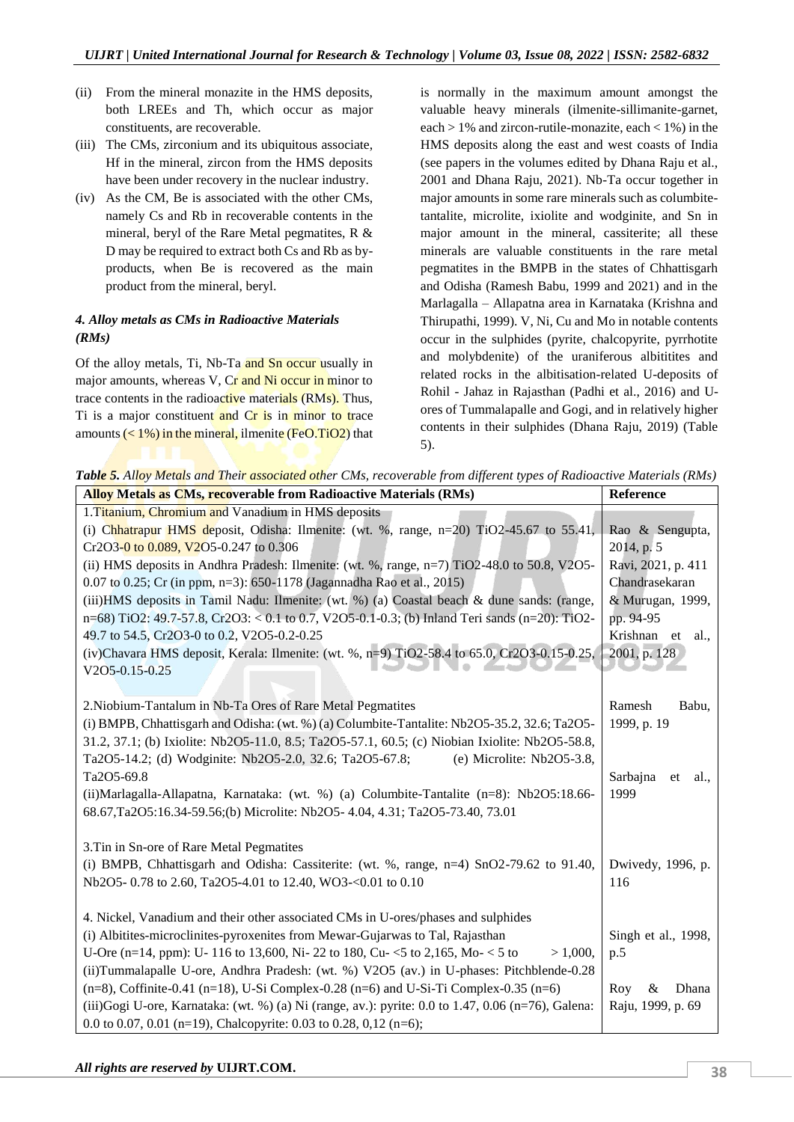- (ii) From the mineral monazite in the HMS deposits, both LREEs and Th, which occur as major constituents, are recoverable.
- (iii) The CMs, zirconium and its ubiquitous associate, Hf in the mineral, zircon from the HMS deposits have been under recovery in the nuclear industry.
- (iv) As the CM, Be is associated with the other CMs, namely Cs and Rb in recoverable contents in the mineral, beryl of the Rare Metal pegmatites, R & D may be required to extract both Cs and Rb as byproducts, when Be is recovered as the main product from the mineral, beryl.

# *4. Alloy metals as CMs in Radioactive Materials (RMs)*

Of the alloy metals, Ti, Nb-Ta and Sn occur usually in major amounts, whereas V, Cr and Ni occur in minor to trace contents in the radioactive materials (RMs). Thus, Ti is a major constituent and Cr is in minor to trace amounts  $(< 1\%)$  in the mineral, ilmenite (FeO.TiO2) that is normally in the maximum amount amongst the valuable heavy minerals (ilmenite-sillimanite-garnet, each  $> 1\%$  and zircon-rutile-monazite, each  $< 1\%$ ) in the HMS deposits along the east and west coasts of India (see papers in the volumes edited by Dhana Raju et al., 2001 and Dhana Raju, 2021). Nb-Ta occur together in major amounts in some rare minerals such as columbitetantalite, microlite, ixiolite and wodginite, and Sn in major amount in the mineral, cassiterite; all these minerals are valuable constituents in the rare metal pegmatites in the BMPB in the states of Chhattisgarh and Odisha (Ramesh Babu, 1999 and 2021) and in the Marlagalla – Allapatna area in Karnataka (Krishna and Thirupathi, 1999). V, Ni, Cu and Mo in notable contents occur in the sulphides (pyrite, chalcopyrite, pyrrhotite and molybdenite) of the uraniferous albititites and related rocks in the albitisation-related U-deposits of Rohil - Jahaz in Rajasthan (Padhi et al., 2016) and Uores of Tummalapalle and Gogi, and in relatively higher contents in their sulphides (Dhana Raju, 2019) (Table 5).

*Table 5. Alloy Metals and Their associated other CMs, recoverable from different types of Radioactive Materials (RMs)*

| <b>Alloy Metals as CMs, recoverable from Radioactive Materials (RMs)</b>                           | <b>Reference</b>       |
|----------------------------------------------------------------------------------------------------|------------------------|
| 1. Titanium, Chromium and Vanadium in HMS deposits                                                 |                        |
| (i) Chhatrapur HMS deposit, Odisha: Ilmenite: (wt. %, range, n=20) TiO2-45.67 to 55.41,            | Rao & Sengupta,        |
| Cr2O3-0 to 0.089, V2O5-0.247 to 0.306                                                              | 2014, p. 5             |
| (ii) HMS deposits in Andhra Pradesh: Ilmenite: (wt. %, range, n=7) TiO2-48.0 to 50.8, V2O5-        | Ravi, 2021, p. 411     |
| 0.07 to 0.25; Cr (in ppm, n=3): 650-1178 (Jagannadha Rao et al., 2015)                             | Chandrasekaran         |
| (iii)HMS deposits in Tamil Nadu: Ilmenite: (wt. %) (a) Coastal beach & dune sands: (range,         | & Murugan, 1999,       |
| $n=68$ ) TiO2: 49.7-57.8, Cr2O3: < 0.1 to 0.7, V2O5-0.1-0.3; (b) Inland Teri sands (n=20): TiO2-   | pp. 94-95              |
| 49.7 to 54.5, Cr2O3-0 to 0.2, V2O5-0.2-0.25                                                        | Krishnan et<br>al.,    |
| (iv)Chavara HMS deposit, Kerala: Ilmenite: (wt. %, n=9) TiO2-58.4 to 65.0, Cr2O3-0.15-0.25,        | 2001, p. 128           |
| V2O5-0.15-0.25                                                                                     |                        |
|                                                                                                    |                        |
| 2. Niobium-Tantalum in Nb-Ta Ores of Rare Metal Pegmatites                                         | Ramesh<br>Babu,        |
| (i) BMPB, Chhattisgarh and Odisha: (wt. %) (a) Columbite-Tantalite: Nb2O5-35.2, 32.6; Ta2O5-       | 1999, p. 19            |
| 31.2, 37.1; (b) Ixiolite: Nb2O5-11.0, 8.5; Ta2O5-57.1, 60.5; (c) Niobian Ixiolite: Nb2O5-58.8,     |                        |
| Ta2O5-14.2; (d) Wodginite: Nb2O5-2.0, 32.6; Ta2O5-67.8;<br>(e) Microlite: $Nb2O5-3.8$ ,            |                        |
| Ta2O5-69.8                                                                                         | Sarbajna<br>et<br>al., |
| (ii)Marlagalla-Allapatna, Karnataka: (wt. %) (a) Columbite-Tantalite (n=8): Nb2O5:18.66-           | 1999                   |
| 68.67,Ta2O5:16.34-59.56;(b) Microlite: Nb2O5- 4.04, 4.31; Ta2O5-73.40, 73.01                       |                        |
|                                                                                                    |                        |
| 3. Tin in Sn-ore of Rare Metal Pegmatites                                                          |                        |
| (i) BMPB, Chhattisgarh and Odisha: Cassiterite: (wt. $\%$ , range, n=4) SnO2-79.62 to 91.40,       | Dwivedy, 1996, p.      |
| Nb2O5-0.78 to 2.60, Ta2O5-4.01 to 12.40, WO3-<0.01 to 0.10                                         | 116                    |
|                                                                                                    |                        |
| 4. Nickel, Vanadium and their other associated CMs in U-ores/phases and sulphides                  |                        |
| (i) Albitites-microclinites-pyroxenites from Mewar-Gujarwas to Tal, Rajasthan                      | Singh et al., 1998,    |
| U-Ore (n=14, ppm): U- 116 to 13,600, Ni- 22 to 180, Cu- <5 to 2,165, Mo- < 5 to<br>$> 1,000$ ,     | p.5                    |
| (ii)Tummalapalle U-ore, Andhra Pradesh: (wt. %) V2O5 (av.) in U-phases: Pitchblende-0.28           |                        |
| $(n=8)$ , Coffinite-0.41 (n=18), U-Si Complex-0.28 (n=6) and U-Si-Ti Complex-0.35 (n=6)            | Roy<br>&<br>Dhana      |
| (iii)Gogi U-ore, Karnataka: (wt. %) (a) Ni (range, av.): pyrite: 0.0 to 1.47, 0.06 (n=76), Galena: | Raju, 1999, p. 69      |
| 0.0 to 0.07, 0.01 (n=19), Chalcopyrite: 0.03 to 0.28, 0,12 (n=6);                                  |                        |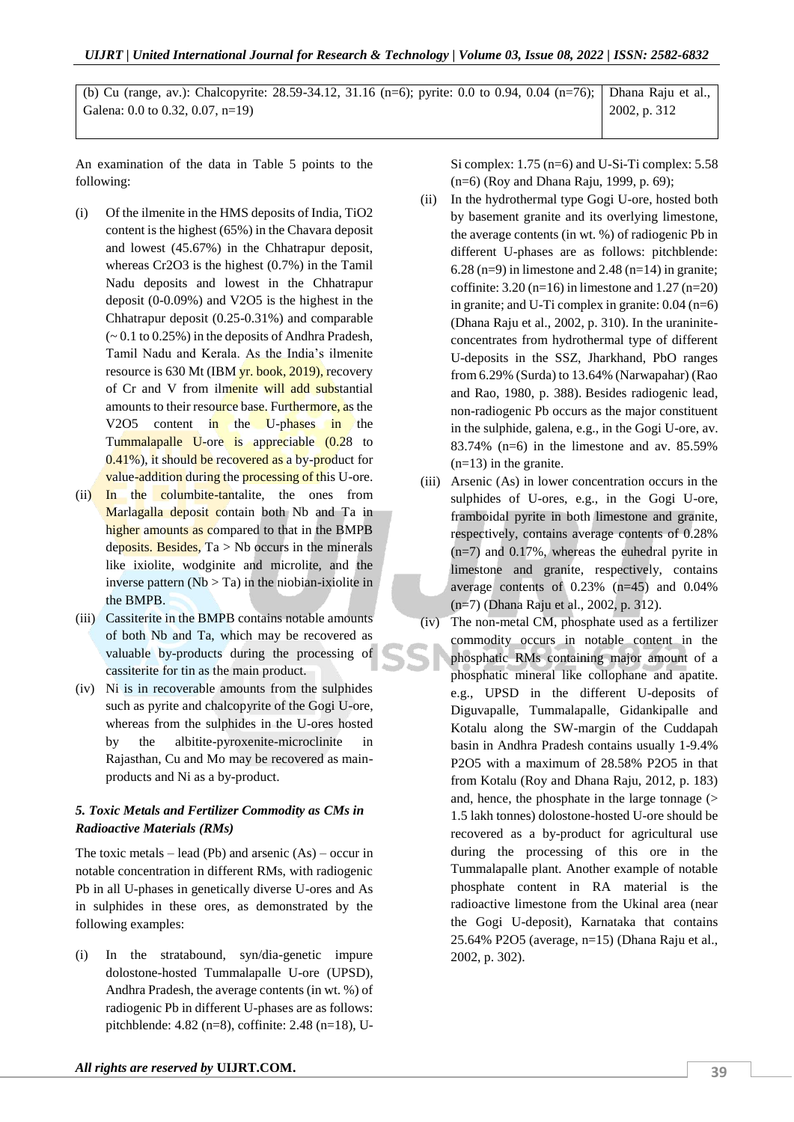(b) Cu (range, av.): Chalcopyrite: 28.59-34.12, 31.16 (n=6); pyrite: 0.0 to 0.94, 0.04 (n=76); Galena: 0.0 to 0.32, 0.07, n=19) Dhana Raju et al., 2002, p. 312

An examination of the data in Table 5 points to the following:

- (i) Of the ilmenite in the HMS deposits of India, TiO2 content is the highest (65%) in the Chavara deposit and lowest (45.67%) in the Chhatrapur deposit, whereas Cr2O3 is the highest (0.7%) in the Tamil Nadu deposits and lowest in the Chhatrapur deposit (0-0.09%) and V2O5 is the highest in the Chhatrapur deposit (0.25-0.31%) and comparable (~ 0.1 to 0.25%) in the deposits of Andhra Pradesh, Tamil Nadu and Kerala. As the India's ilmenite resource is 630 Mt (IBM yr. book, 2019), recovery of Cr and V from ilmenite will add substantial amounts to their resource base. Furthermore, as the V2O5 content in the U-phases in the Tummalapalle U-ore is appreciable (0.28 to 0.41%), it should be recovered as a by-product for value-addition during the processing of this U-ore.
- (ii) In the columbite-tantalite, the ones from Marlagalla deposit contain both Nb and Ta in higher amounts as compared to that in the BMPB deposits. Besides,  $Ta > Nb$  occurs in the minerals like ixiolite, wodginite and microlite, and the inverse pattern  $(Nb > Ta)$  in the niobian-ixiolite in the BMPB.
- (iii) Cassiterite in the BMPB contains notable amounts of both Nb and Ta, which may be recovered as valuable by-products during the processing of cassiterite for tin as the main product.
- (iv) Ni is in recoverable amounts from the sulphides such as pyrite and chalcopyrite of the Gogi U-ore, whereas from the sulphides in the U-ores hosted by the albitite-pyroxenite-microclinite in Rajasthan, Cu and Mo may be recovered as mainproducts and Ni as a by-product.

## *5. Toxic Metals and Fertilizer Commodity as CMs in Radioactive Materials (RMs)*

The toxic metals – lead (Pb) and arsenic  $(As)$  – occur in notable concentration in different RMs, with radiogenic Pb in all U-phases in genetically diverse U-ores and As in sulphides in these ores, as demonstrated by the following examples:

(i) In the stratabound, syn/dia-genetic impure dolostone-hosted Tummalapalle U-ore (UPSD), Andhra Pradesh, the average contents (in wt. %) of radiogenic Pb in different U-phases are as follows: pitchblende: 4.82 (n=8), coffinite: 2.48 (n=18), U-

Si complex: 1.75 (n=6) and U-Si-Ti complex: 5.58 (n=6) (Roy and Dhana Raju, 1999, p. 69);

- (ii) In the hydrothermal type Gogi U-ore, hosted both by basement granite and its overlying limestone, the average contents (in wt. %) of radiogenic Pb in different U-phases are as follows: pitchblende:  $6.28$  (n=9) in limestone and 2.48 (n=14) in granite; coffinite:  $3.20$  (n=16) in limestone and  $1.27$  (n=20) in granite; and U-Ti complex in granite: 0.04 (n=6) (Dhana Raju et al., 2002, p. 310). In the uraniniteconcentrates from hydrothermal type of different U-deposits in the SSZ, Jharkhand, PbO ranges from 6.29% (Surda) to 13.64% (Narwapahar) (Rao and Rao, 1980, p. 388). Besides radiogenic lead, non-radiogenic Pb occurs as the major constituent in the sulphide, galena, e.g., in the Gogi U-ore, av. 83.74% (n=6) in the limestone and av. 85.59%  $(n=13)$  in the granite.
- (iii) Arsenic (As) in lower concentration occurs in the sulphides of U-ores, e.g., in the Gogi U-ore, framboidal pyrite in both limestone and granite, respectively, contains average contents of 0.28% (n=7) and 0.17%, whereas the euhedral pyrite in limestone and granite, respectively, contains average contents of 0.23% (n=45) and 0.04% (n=7) (Dhana Raju et al., 2002, p. 312).
- (iv) The non-metal CM, phosphate used as a fertilizer commodity occurs in notable content in the phosphatic RMs containing major amount of a phosphatic mineral like collophane and apatite. e.g., UPSD in the different U-deposits of Diguvapalle, Tummalapalle, Gidankipalle and Kotalu along the SW-margin of the Cuddapah basin in Andhra Pradesh contains usually 1-9.4% P2O5 with a maximum of 28.58% P2O5 in that from Kotalu (Roy and Dhana Raju, 2012, p. 183) and, hence, the phosphate in the large tonnage (> 1.5 lakh tonnes) dolostone-hosted U-ore should be recovered as a by-product for agricultural use during the processing of this ore in the Tummalapalle plant. Another example of notable phosphate content in RA material is the radioactive limestone from the Ukinal area (near the Gogi U-deposit), Karnataka that contains 25.64% P2O5 (average, n=15) (Dhana Raju et al., 2002, p. 302).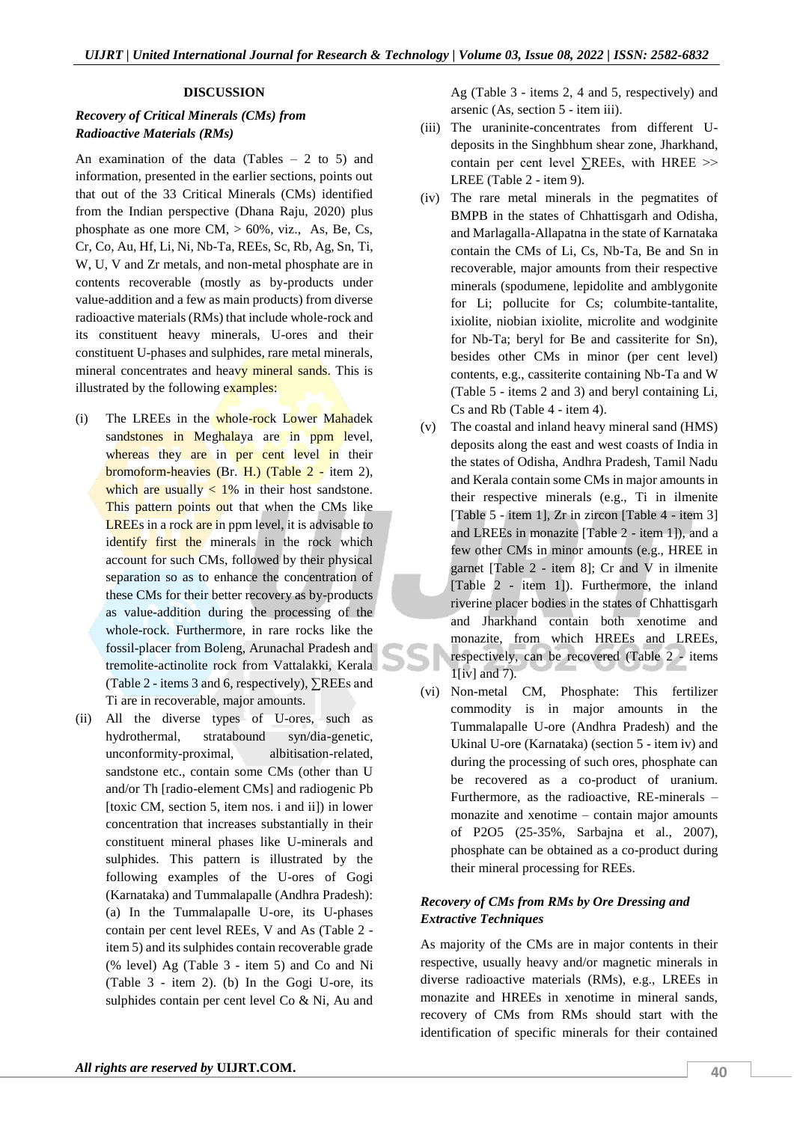#### **DISCUSSION**

## *Recovery of Critical Minerals (CMs) from Radioactive Materials (RMs)*

An examination of the data (Tables  $-2$  to 5) and information, presented in the earlier sections, points out that out of the 33 Critical Minerals (CMs) identified from the Indian perspective (Dhana Raju, 2020) plus phosphate as one more  $CM$ ,  $> 60\%$ , viz., As, Be, Cs, Cr, Co, Au, Hf, Li, Ni, Nb-Ta, REEs, Sc, Rb, Ag, Sn, Ti, W, U, V and Zr metals, and non-metal phosphate are in contents recoverable (mostly as by-products under value-addition and a few as main products) from diverse radioactive materials (RMs) that include whole-rock and its constituent heavy minerals, U-ores and their constituent U-phases and sulphides, rare metal minerals, mineral concentrates and heavy mineral sands. This is illustrated by the following examples:

- (i) The LREEs in the whole-rock Lower Mahadek sandstones in Meghalaya are in ppm level, whereas they are in per cent level in their bromoform-heavies (Br. H.) (Table 2 - item 2), which are usually  $\langle 1\%$  in their host sandstone. This pattern points out that when the CMs like LREEs in a rock are in ppm level, it is advisable to identify first the minerals in the rock which account for such CMs, followed by their physical separation so as to enhance the concentration of these CMs for their better recovery as by-products as value-addition during the processing of the whole-rock. Furthermore, in rare rocks like the fossil-placer from Boleng, Arunachal Pradesh and tremolite-actinolite rock from Vattalakki, Kerala (Table 2 - items 3 and 6, respectively), ∑REEs and Ti are in recoverable, major amounts.
- (ii) All the diverse types of U-ores, such as hydrothermal, stratabound syn/dia-genetic, unconformity-proximal, albitisation-related, sandstone etc., contain some CMs (other than U and/or Th [radio-element CMs] and radiogenic Pb [toxic CM, section 5, item nos. i and ii]) in lower concentration that increases substantially in their constituent mineral phases like U-minerals and sulphides. This pattern is illustrated by the following examples of the U-ores of Gogi (Karnataka) and Tummalapalle (Andhra Pradesh): (a) In the Tummalapalle U-ore, its U-phases contain per cent level REEs, V and As (Table 2 item 5) and its sulphides contain recoverable grade (% level) Ag (Table 3 - item 5) and Co and Ni (Table 3 - item 2). (b) In the Gogi U-ore, its sulphides contain per cent level Co & Ni, Au and

Ag (Table 3 - items 2, 4 and 5, respectively) and arsenic (As, section 5 - item iii).

- (iii) The uraninite-concentrates from different Udeposits in the Singhbhum shear zone, Jharkhand, contain per cent level ∑REEs, with HREE >> LREE (Table 2 - item 9).
- (iv) The rare metal minerals in the pegmatites of BMPB in the states of Chhattisgarh and Odisha, and Marlagalla-Allapatna in the state of Karnataka contain the CMs of Li, Cs, Nb-Ta, Be and Sn in recoverable, major amounts from their respective minerals (spodumene, lepidolite and amblygonite for Li; pollucite for Cs; columbite-tantalite, ixiolite, niobian ixiolite, microlite and wodginite for Nb-Ta; beryl for Be and cassiterite for Sn), besides other CMs in minor (per cent level) contents, e.g., cassiterite containing Nb-Ta and W (Table 5 - items 2 and 3) and beryl containing Li, Cs and Rb (Table 4 - item 4).
- (v) The coastal and inland heavy mineral sand (HMS) deposits along the east and west coasts of India in the states of Odisha, Andhra Pradesh, Tamil Nadu and Kerala contain some CMs in major amounts in their respective minerals (e.g., Ti in ilmenite [Table 5 - item 1], Zr in zircon [Table 4 - item 3] and LREEs in monazite [Table 2 - item 1]), and a few other CMs in minor amounts (e.g., HREE in garnet [Table 2 - item 8]; Cr and V in ilmenite [Table 2 - item 1]). Furthermore, the inland riverine placer bodies in the states of Chhattisgarh and Jharkhand contain both xenotime and monazite, from which HREEs and LREEs, respectively, can be recovered (Table 2 - items 1[iv] and 7).
- (vi) Non-metal CM, Phosphate: This fertilizer commodity is in major amounts in the Tummalapalle U-ore (Andhra Pradesh) and the Ukinal U-ore (Karnataka) (section 5 - item iv) and during the processing of such ores, phosphate can be recovered as a co-product of uranium. Furthermore, as the radioactive, RE-minerals – monazite and xenotime – contain major amounts of P2O5 (25-35%, Sarbajna et al., 2007), phosphate can be obtained as a co-product during their mineral processing for REEs.

## *Recovery of CMs from RMs by Ore Dressing and Extractive Techniques*

As majority of the CMs are in major contents in their respective, usually heavy and/or magnetic minerals in diverse radioactive materials (RMs), e.g., LREEs in monazite and HREEs in xenotime in mineral sands, recovery of CMs from RMs should start with the identification of specific minerals for their contained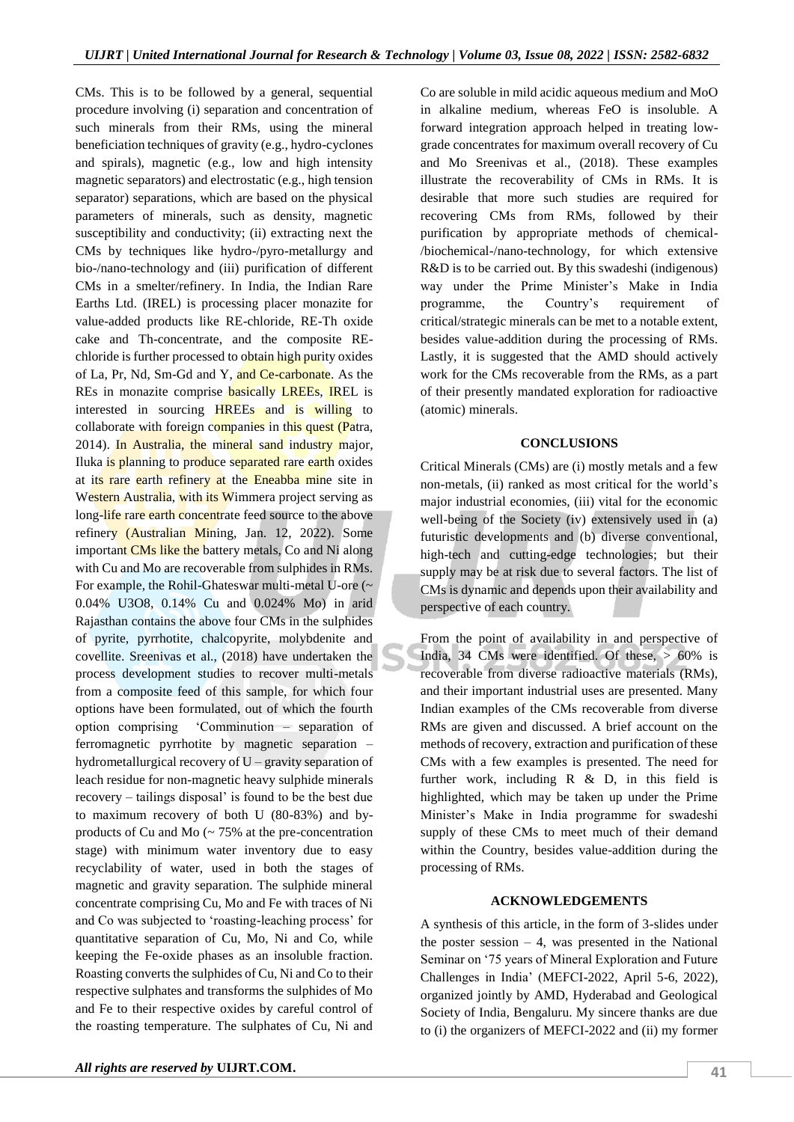CMs. This is to be followed by a general, sequential procedure involving (i) separation and concentration of such minerals from their RMs, using the mineral beneficiation techniques of gravity (e.g., hydro-cyclones and spirals), magnetic (e.g., low and high intensity magnetic separators) and electrostatic (e.g., high tension separator) separations, which are based on the physical parameters of minerals, such as density, magnetic susceptibility and conductivity; (ii) extracting next the CMs by techniques like hydro-/pyro-metallurgy and bio-/nano-technology and (iii) purification of different CMs in a smelter/refinery. In India, the Indian Rare Earths Ltd. (IREL) is processing placer monazite for value-added products like RE-chloride, RE-Th oxide cake and Th-concentrate, and the composite REchloride is further processed to obtain high purity oxides of La, Pr, Nd, Sm-Gd and Y, and Ce-carbonate. As the REs in monazite comprise basically LREEs, IREL is interested in sourcing HREEs and is willing to collaborate with foreign companies in this quest (Patra, 2014). In Australia, the mineral sand industry major, Iluka is planning to produce separated rare earth oxides at its rare earth refinery at the Eneabba mine site in Western Australia, with its Wimmera project serving as long-life rare earth concentrate feed source to the above refinery (Australian Mining, Jan. 12, 2022). Some important CMs like the battery metals, Co and Ni along with Cu and Mo are recoverable from sulphides in RMs. For example, the Rohil-Ghateswar multi-metal U-ore (~ 0.04% U3O8, 0.14% Cu and 0.024% Mo) in arid Rajasthan contains the above four CMs in the sulphides of pyrite, pyrrhotite, chalcopyrite, molybdenite and covellite. Sreenivas et al., (2018) have undertaken the process development studies to recover multi-metals from a composite feed of this sample, for which four options have been formulated, out of which the fourth option comprising 'Comminution – separation of ferromagnetic pyrrhotite by magnetic separation – hydrometallurgical recovery of U – gravity separation of leach residue for non-magnetic heavy sulphide minerals recovery – tailings disposal' is found to be the best due to maximum recovery of both U (80-83%) and byproducts of Cu and Mo (~ 75% at the pre-concentration stage) with minimum water inventory due to easy recyclability of water, used in both the stages of magnetic and gravity separation. The sulphide mineral concentrate comprising Cu, Mo and Fe with traces of Ni and Co was subjected to 'roasting-leaching process' for quantitative separation of Cu, Mo, Ni and Co, while keeping the Fe-oxide phases as an insoluble fraction. Roasting converts the sulphides of Cu, Ni and Co to their respective sulphates and transforms the sulphides of Mo and Fe to their respective oxides by careful control of the roasting temperature. The sulphates of Cu, Ni and

Co are soluble in mild acidic aqueous medium and MoO in alkaline medium, whereas FeO is insoluble. A forward integration approach helped in treating lowgrade concentrates for maximum overall recovery of Cu and Mo Sreenivas et al., (2018). These examples illustrate the recoverability of CMs in RMs. It is desirable that more such studies are required for recovering CMs from RMs, followed by their purification by appropriate methods of chemical- /biochemical-/nano-technology, for which extensive R&D is to be carried out. By this swadeshi (indigenous) way under the Prime Minister's Make in India programme, the Country's requirement of critical/strategic minerals can be met to a notable extent, besides value-addition during the processing of RMs. Lastly, it is suggested that the AMD should actively work for the CMs recoverable from the RMs, as a part of their presently mandated exploration for radioactive (atomic) minerals.

#### **CONCLUSIONS**

Critical Minerals (CMs) are (i) mostly metals and a few non-metals, (ii) ranked as most critical for the world's major industrial economies, (iii) vital for the economic well-being of the Society (iv) extensively used in (a) futuristic developments and (b) diverse conventional, high-tech and cutting-edge technologies; but their supply may be at risk due to several factors. The list of CMs is dynamic and depends upon their availability and perspective of each country.

From the point of availability in and perspective of India, 34 CMs were identified. Of these,  $> 60\%$  is recoverable from diverse radioactive materials (RMs), and their important industrial uses are presented. Many Indian examples of the CMs recoverable from diverse RMs are given and discussed. A brief account on the methods of recovery, extraction and purification of these CMs with a few examples is presented. The need for further work, including R & D, in this field is highlighted, which may be taken up under the Prime Minister's Make in India programme for swadeshi supply of these CMs to meet much of their demand within the Country, besides value-addition during the processing of RMs.

#### **ACKNOWLEDGEMENTS**

A synthesis of this article, in the form of 3-slides under the poster session  $-4$ , was presented in the National Seminar on '75 years of Mineral Exploration and Future Challenges in India' (MEFCI-2022, April 5-6, 2022), organized jointly by AMD, Hyderabad and Geological Society of India, Bengaluru. My sincere thanks are due to (i) the organizers of MEFCI-2022 and (ii) my former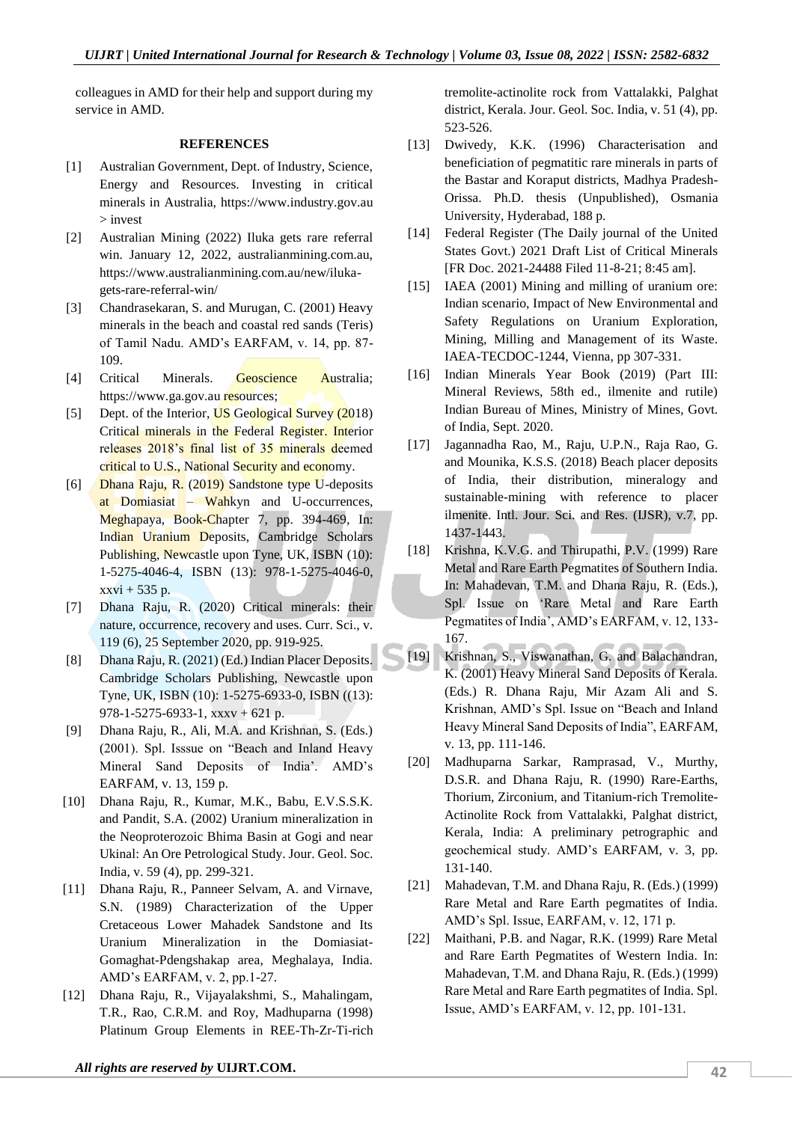colleagues in AMD for their help and support during my service in AMD.

#### **REFERENCES**

- [1] Australian Government, Dept. of Industry, Science, Energy and Resources. Investing in critical minerals in Australia, https://www.industry.gov.au > invest
- [2] Australian Mining (2022) Iluka gets rare referral win. January 12, 2022, australianmining.com.au, https://www.australianmining.com.au/new/ilukagets-rare-referral-win/
- [3] Chandrasekaran, S. and Murugan, C. (2001) Heavy minerals in the beach and coastal red sands (Teris) of Tamil Nadu. AMD's EARFAM, v. 14, pp. 87- 109.
- [4] Critical Minerals. Geoscience Australia; https://www.ga.gov.au resources;
- [5] Dept. of the Interior, US Geological Survey (2018) Critical minerals in the Federal Register. Interior releases 2018's final list of 35 minerals deemed critical to U.S., National Security and economy.
- [6] Dhana Raju, R. (2019) Sandstone type U-deposits at Domiasiat – Wahkyn and U-occurrences, Meghapaya, Book-Chapter 7, pp. 394-469, In: Indian Uranium Deposits, Cambridge Scholars Publishing, Newcastle upon Tyne, UK, ISBN (10): 1-5275-4046-4, ISBN (13): 978-1-5275-4046-0, xxvi + 535 p.
- [7] Dhana Raju, R. (2020) Critical minerals: their nature, occurrence, recovery and uses. Curr. Sci., v. 119 (6), 25 September 2020, pp. 919-925.
- [8] Dhana Raju, R. (2021) (Ed.) Indian Placer Deposits. Cambridge Scholars Publishing, Newcastle upon Tyne, UK, ISBN (10): 1-5275-6933-0, ISBN ((13): 978-1-5275-6933-1, xxxv + 621 p.
- [9] Dhana Raju, R., Ali, M.A. and Krishnan, S. (Eds.) (2001). Spl. Isssue on "Beach and Inland Heavy Mineral Sand Deposits of India'. AMD's EARFAM, v. 13, 159 p.
- [10] Dhana Raju, R., Kumar, M.K., Babu, E.V.S.S.K. and Pandit, S.A. (2002) Uranium mineralization in the Neoproterozoic Bhima Basin at Gogi and near Ukinal: An Ore Petrological Study. Jour. Geol. Soc. India, v. 59 (4), pp. 299-321.
- [11] Dhana Raju, R., Panneer Selvam, A. and Virnave, S.N. (1989) Characterization of the Upper Cretaceous Lower Mahadek Sandstone and Its Uranium Mineralization in the Domiasiat-Gomaghat-Pdengshakap area, Meghalaya, India. AMD's EARFAM, v. 2, pp.1-27.
- [12] Dhana Raju, R., Vijayalakshmi, S., Mahalingam, T.R., Rao, C.R.M. and Roy, Madhuparna (1998) Platinum Group Elements in REE-Th-Zr-Ti-rich

tremolite-actinolite rock from Vattalakki, Palghat district, Kerala. Jour. Geol. Soc. India, v. 51 (4), pp. 523-526.

- [13] Dwivedy, K.K. (1996) Characterisation and beneficiation of pegmatitic rare minerals in parts of the Bastar and Koraput districts, Madhya Pradesh-Orissa. Ph.D. thesis (Unpublished), Osmania University, Hyderabad, 188 p.
- [14] Federal Register (The Daily journal of the United States Govt.) 2021 Draft List of Critical Minerals [FR Doc. 2021-24488 Filed 11-8-21; 8:45 am].
- [15] IAEA (2001) Mining and milling of uranium ore: Indian scenario, Impact of New Environmental and Safety Regulations on Uranium Exploration, Mining, Milling and Management of its Waste. IAEA-TECDOC-1244, Vienna, pp 307-331.
- [16] Indian Minerals Year Book (2019) (Part III: Mineral Reviews, 58th ed., ilmenite and rutile) Indian Bureau of Mines, Ministry of Mines, Govt. of India, Sept. 2020.
- [17] Jagannadha Rao, M., Raju, U.P.N., Raja Rao, G. and Mounika, K.S.S. (2018) Beach placer deposits of India, their distribution, mineralogy and sustainable-mining with reference to placer ilmenite. Intl. Jour. Sci. and Res. (IJSR), v.7, pp. 1437-1443.
- [18] Krishna, K.V.G. and Thirupathi, P.V. (1999) Rare Metal and Rare Earth Pegmatites of Southern India. In: Mahadevan, T.M. and Dhana Raju, R. (Eds.), Spl. Issue on 'Rare Metal and Rare Earth Pegmatites of India', AMD's EARFAM, v. 12, 133- 167.
- [19] Krishnan, S., Viswanathan, G. and Balachandran, K. (2001) Heavy Mineral Sand Deposits of Kerala. (Eds.) R. Dhana Raju, Mir Azam Ali and S. Krishnan, AMD's Spl. Issue on "Beach and Inland Heavy Mineral Sand Deposits of India", EARFAM, v. 13, pp. 111-146.
- [20] Madhuparna Sarkar, Ramprasad, V., Murthy, D.S.R. and Dhana Raju, R. (1990) Rare-Earths, Thorium, Zirconium, and Titanium-rich Tremolite-Actinolite Rock from Vattalakki, Palghat district, Kerala, India: A preliminary petrographic and geochemical study. AMD's EARFAM, v. 3, pp. 131-140.
- [21] Mahadevan, T.M. and Dhana Raju, R. (Eds.) (1999) Rare Metal and Rare Earth pegmatites of India. AMD's Spl. Issue, EARFAM, v. 12, 171 p.
- [22] Maithani, P.B. and Nagar, R.K. (1999) Rare Metal and Rare Earth Pegmatites of Western India. In: Mahadevan, T.M. and Dhana Raju, R. (Eds.) (1999) Rare Metal and Rare Earth pegmatites of India. Spl. Issue, AMD's EARFAM, v. 12, pp. 101-131.